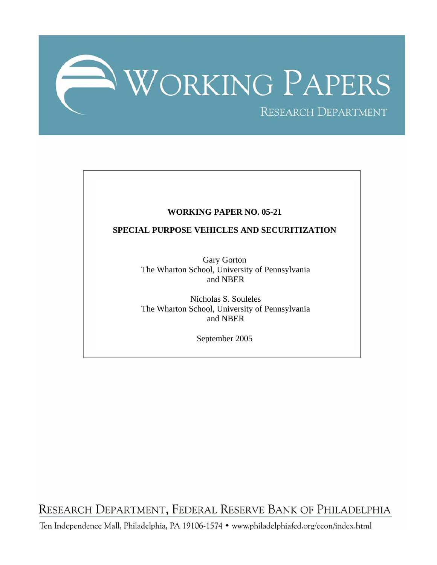

# **WORKING PAPER NO. 05-21**

# **SPECIAL PURPOSE VEHICLES AND SECURITIZATION**

Gary Gorton The Wharton School, University of Pennsylvania and NBER

 Nicholas S. Souleles The Wharton School, University of Pennsylvania and NBER

September 2005

RESEARCH DEPARTMENT, FEDERAL RESERVE BANK OF PHILADELPHIA

Ten Independence Mall, Philadelphia, PA 19106-1574 · www.philadelphiafed.org/econ/index.html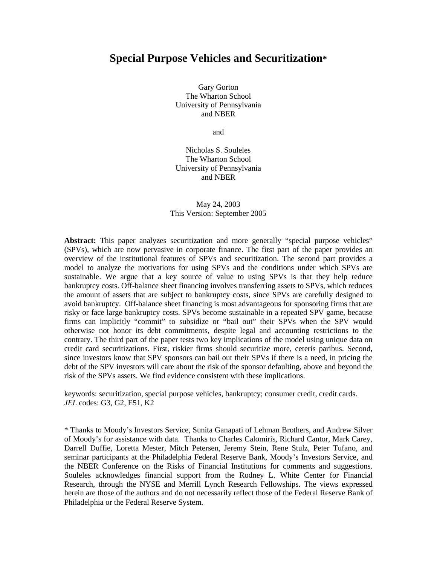# **Special Purpose Vehicles and Securitization\***

Gary Gorton The Wharton School University of Pennsylvania and NBER

and

Nicholas S. Souleles The Wharton School University of Pennsylvania and NBER

May 24, 2003 This Version: September 2005

**Abstract:** This paper analyzes securitization and more generally "special purpose vehicles" (SPVs), which are now pervasive in corporate finance. The first part of the paper provides an overview of the institutional features of SPVs and securitization. The second part provides a model to analyze the motivations for using SPVs and the conditions under which SPVs are sustainable. We argue that a key source of value to using SPVs is that they help reduce bankruptcy costs. Off-balance sheet financing involves transferring assets to SPVs, which reduces the amount of assets that are subject to bankruptcy costs, since SPVs are carefully designed to avoid bankruptcy. Off-balance sheet financing is most advantageous for sponsoring firms that are risky or face large bankruptcy costs. SPVs become sustainable in a repeated SPV game, because firms can implicitly "commit" to subsidize or "bail out" their SPVs when the SPV would otherwise not honor its debt commitments, despite legal and accounting restrictions to the contrary. The third part of the paper tests two key implications of the model using unique data on credit card securitizations. First, riskier firms should securitize more, ceteris paribus. Second, since investors know that SPV sponsors can bail out their SPVs if there is a need, in pricing the debt of the SPV investors will care about the risk of the sponsor defaulting, above and beyond the risk of the SPVs assets. We find evidence consistent with these implications.

keywords: securitization, special purpose vehicles, bankruptcy; consumer credit, credit cards. *JEL* codes: G3, G2, E51, K2

\* Thanks to Moody's Investors Service, Sunita Ganapati of Lehman Brothers, and Andrew Silver of Moody's for assistance with data. Thanks to Charles Calomiris, Richard Cantor, Mark Carey, Darrell Duffie, Loretta Mester, Mitch Petersen, Jeremy Stein, Rene Stulz, Peter Tufano, and seminar participants at the Philadelphia Federal Reserve Bank, Moody's Investors Service, and the NBER Conference on the Risks of Financial Institutions for comments and suggestions. Souleles acknowledges financial support from the Rodney L. White Center for Financial Research, through the NYSE and Merrill Lynch Research Fellowships. The views expressed herein are those of the authors and do not necessarily reflect those of the Federal Reserve Bank of Philadelphia or the Federal Reserve System.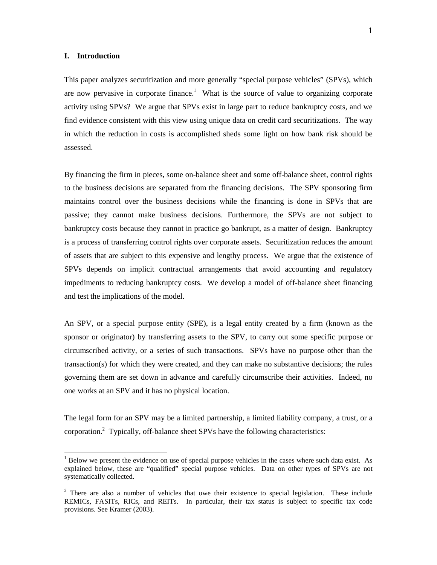#### **I. Introduction**

 $\overline{a}$ 

This paper analyzes securitization and more generally "special purpose vehicles" (SPVs), which are now pervasive in corporate finance.<sup>1</sup> What is the source of value to organizing corporate activity using SPVs? We argue that SPVs exist in large part to reduce bankruptcy costs, and we find evidence consistent with this view using unique data on credit card securitizations. The way in which the reduction in costs is accomplished sheds some light on how bank risk should be assessed.

By financing the firm in pieces, some on-balance sheet and some off-balance sheet, control rights to the business decisions are separated from the financing decisions. The SPV sponsoring firm maintains control over the business decisions while the financing is done in SPVs that are passive; they cannot make business decisions. Furthermore, the SPVs are not subject to bankruptcy costs because they cannot in practice go bankrupt, as a matter of design. Bankruptcy is a process of transferring control rights over corporate assets. Securitization reduces the amount of assets that are subject to this expensive and lengthy process. We argue that the existence of SPVs depends on implicit contractual arrangements that avoid accounting and regulatory impediments to reducing bankruptcy costs. We develop a model of off-balance sheet financing and test the implications of the model.

An SPV, or a special purpose entity (SPE), is a legal entity created by a firm (known as the sponsor or originator) by transferring assets to the SPV, to carry out some specific purpose or circumscribed activity, or a series of such transactions. SPVs have no purpose other than the transaction(s) for which they were created, and they can make no substantive decisions; the rules governing them are set down in advance and carefully circumscribe their activities. Indeed, no one works at an SPV and it has no physical location.

The legal form for an SPV may be a limited partnership, a limited liability company, a trust, or a corporation.<sup>2</sup> Typically, off-balance sheet SPVs have the following characteristics:

<sup>&</sup>lt;sup>1</sup> Below we present the evidence on use of special purpose vehicles in the cases where such data exist. As explained below, these are "qualified" special purpose vehicles. Data on other types of SPVs are not systematically collected.

 $2$  There are also a number of vehicles that owe their existence to special legislation. These include REMICs, FASITs, RICs, and REITs. In particular, their tax status is subject to specific tax code provisions. See Kramer (2003).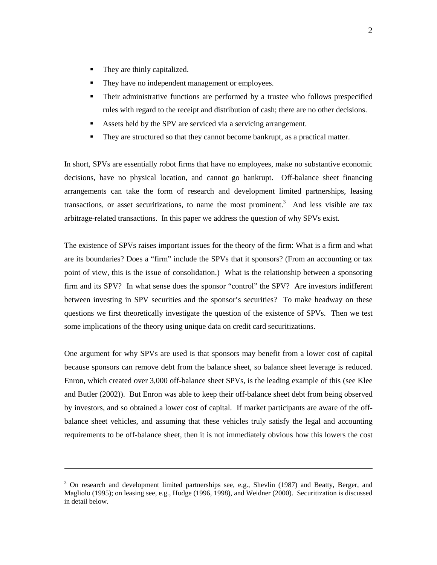• They are thinly capitalized.

 $\overline{a}$ 

- They have no independent management or employees.
- Their administrative functions are performed by a trustee who follows prespecified rules with regard to the receipt and distribution of cash; there are no other decisions.
- Assets held by the SPV are serviced via a servicing arrangement.
- They are structured so that they cannot become bankrupt, as a practical matter.

In short, SPVs are essentially robot firms that have no employees, make no substantive economic decisions, have no physical location, and cannot go bankrupt. Off-balance sheet financing arrangements can take the form of research and development limited partnerships, leasing transactions, or asset securitizations, to name the most prominent.<sup>3</sup> And less visible are tax arbitrage-related transactions. In this paper we address the question of why SPVs exist.

The existence of SPVs raises important issues for the theory of the firm: What is a firm and what are its boundaries? Does a "firm" include the SPVs that it sponsors? (From an accounting or tax point of view, this is the issue of consolidation.) What is the relationship between a sponsoring firm and its SPV? In what sense does the sponsor "control" the SPV? Are investors indifferent between investing in SPV securities and the sponsor's securities? To make headway on these questions we first theoretically investigate the question of the existence of SPVs. Then we test some implications of the theory using unique data on credit card securitizations.

One argument for why SPVs are used is that sponsors may benefit from a lower cost of capital because sponsors can remove debt from the balance sheet, so balance sheet leverage is reduced. Enron, which created over 3,000 off-balance sheet SPVs, is the leading example of this (see Klee and Butler (2002)). But Enron was able to keep their off-balance sheet debt from being observed by investors, and so obtained a lower cost of capital. If market participants are aware of the offbalance sheet vehicles, and assuming that these vehicles truly satisfy the legal and accounting requirements to be off-balance sheet, then it is not immediately obvious how this lowers the cost

<sup>&</sup>lt;sup>3</sup> On research and development limited partnerships see, e.g., Shevlin (1987) and Beatty, Berger, and Magliolo (1995); on leasing see, e.g., Hodge (1996, 1998), and Weidner (2000). Securitization is discussed in detail below.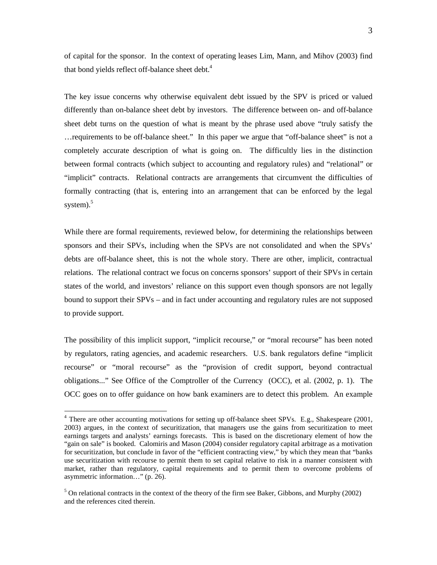of capital for the sponsor. In the context of operating leases Lim, Mann, and Mihov (2003) find that bond yields reflect off-balance sheet debt.<sup>4</sup>

The key issue concerns why otherwise equivalent debt issued by the SPV is priced or valued differently than on-balance sheet debt by investors. The difference between on- and off-balance sheet debt turns on the question of what is meant by the phrase used above "truly satisfy the …requirements to be off-balance sheet." In this paper we argue that "off-balance sheet" is not a completely accurate description of what is going on. The difficultly lies in the distinction between formal contracts (which subject to accounting and regulatory rules) and "relational" or "implicit" contracts. Relational contracts are arrangements that circumvent the difficulties of formally contracting (that is, entering into an arrangement that can be enforced by the legal system). $5$ 

While there are formal requirements, reviewed below, for determining the relationships between sponsors and their SPVs, including when the SPVs are not consolidated and when the SPVs' debts are off-balance sheet, this is not the whole story. There are other, implicit, contractual relations. The relational contract we focus on concerns sponsors' support of their SPVs in certain states of the world, and investors' reliance on this support even though sponsors are not legally bound to support their SPVs – and in fact under accounting and regulatory rules are not supposed to provide support.

The possibility of this implicit support, "implicit recourse," or "moral recourse" has been noted by regulators, rating agencies, and academic researchers. U.S. bank regulators define "implicit recourse" or "moral recourse" as the "provision of credit support, beyond contractual obligations..." See Office of the Comptroller of the Currency (OCC), et al. (2002, p. 1). The OCC goes on to offer guidance on how bank examiners are to detect this problem. An example

<sup>&</sup>lt;sup>4</sup> There are other accounting motivations for setting up off-balance sheet SPVs. E.g., Shakespeare (2001, 2003) argues, in the context of securitization, that managers use the gains from securitization to meet earnings targets and analysts' earnings forecasts. This is based on the discretionary element of how the "gain on sale" is booked. Calomiris and Mason (2004) consider regulatory capital arbitrage as a motivation for securitization, but conclude in favor of the "efficient contracting view," by which they mean that "banks use securitization with recourse to permit them to set capital relative to risk in a manner consistent with market, rather than regulatory, capital requirements and to permit them to overcome problems of asymmetric information…" (p. 26).

 $<sup>5</sup>$  On relational contracts in the context of the theory of the firm see Baker, Gibbons, and Murphy (2002)</sup> and the references cited therein.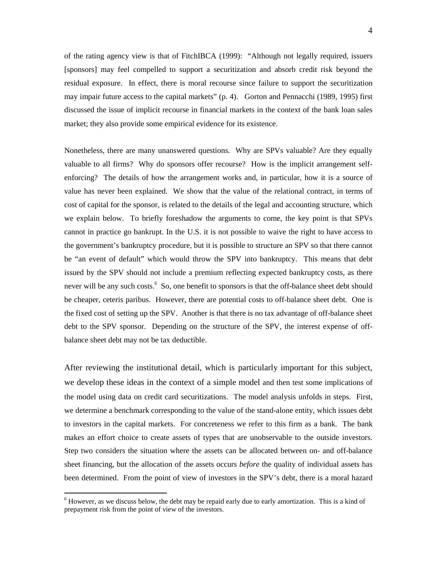of the rating agency view is that of FitchIBCA (1999): "Although not legally required, issuers [sponsors] may feel compelled to support a securitization and absorb credit risk beyond the residual exposure. In effect, there is moral recourse since failure to support the securitization may impair future access to the capital markets" (p. 4). Gorton and Pennacchi (1989, 1995) first discussed the issue of implicit recourse in financial markets in the context of the bank loan sales market; they also provide some empirical evidence for its existence.

Nonetheless, there are many unanswered questions. Why are SPVs valuable? Are they equally valuable to all firms? Why do sponsors offer recourse? How is the implicit arrangement selfenforcing? The details of how the arrangement works and, in particular, how it is a source of value has never been explained. We show that the value of the relational contract, in terms of cost of capital for the sponsor, is related to the details of the legal and accounting structure, which we explain below. To briefly foreshadow the arguments to come, the key point is that SPVs cannot in practice go bankrupt. In the U.S. it is not possible to waive the right to have access to the government's bankruptcy procedure, but it is possible to structure an SPV so that there cannot be "an event of default" which would throw the SPV into bankruptcy. This means that debt issued by the SPV should not include a premium reflecting expected bankruptcy costs, as there never will be any such costs.<sup>6</sup> So, one benefit to sponsors is that the off-balance sheet debt should be cheaper, ceteris paribus. However, there are potential costs to off-balance sheet debt. One is the fixed cost of setting up the SPV. Another is that there is no tax advantage of off-balance sheet debt to the SPV sponsor. Depending on the structure of the SPV, the interest expense of offbalance sheet debt may not be tax deductible.

After reviewing the institutional detail, which is particularly important for this subject, we develop these ideas in the context of a simple model and then test some implications of the model using data on credit card securitizations. The model analysis unfolds in steps. First, we determine a benchmark corresponding to the value of the stand-alone entity, which issues debt to investors in the capital markets. For concreteness we refer to this firm as a bank. The bank makes an effort choice to create assets of types that are unobservable to the outside investors. Step two considers the situation where the assets can be allocated between on- and off-balance sheet financing, but the allocation of the assets occurs *before* the quality of individual assets has been determined. From the point of view of investors in the SPV's debt, there is a moral hazard

<sup>&</sup>lt;sup>6</sup> However, as we discuss below, the debt may be repaid early due to early amortization. This is a kind of prepayment risk from the point of view of the investors.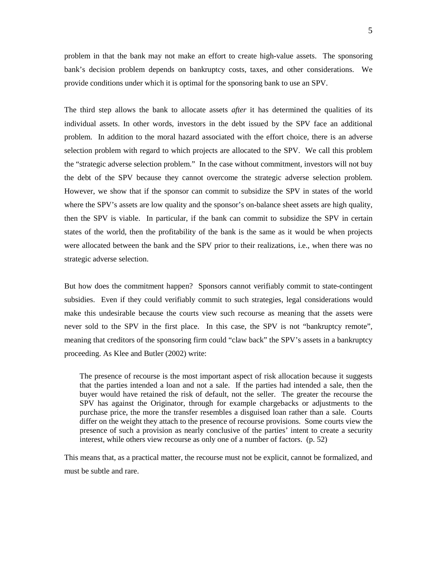problem in that the bank may not make an effort to create high-value assets. The sponsoring bank's decision problem depends on bankruptcy costs, taxes, and other considerations. We provide conditions under which it is optimal for the sponsoring bank to use an SPV.

The third step allows the bank to allocate assets *after* it has determined the qualities of its individual assets. In other words, investors in the debt issued by the SPV face an additional problem. In addition to the moral hazard associated with the effort choice, there is an adverse selection problem with regard to which projects are allocated to the SPV. We call this problem the "strategic adverse selection problem." In the case without commitment, investors will not buy the debt of the SPV because they cannot overcome the strategic adverse selection problem. However, we show that if the sponsor can commit to subsidize the SPV in states of the world where the SPV's assets are low quality and the sponsor's on-balance sheet assets are high quality, then the SPV is viable. In particular, if the bank can commit to subsidize the SPV in certain states of the world, then the profitability of the bank is the same as it would be when projects were allocated between the bank and the SPV prior to their realizations, i.e., when there was no strategic adverse selection.

But how does the commitment happen? Sponsors cannot verifiably commit to state-contingent subsidies. Even if they could verifiably commit to such strategies, legal considerations would make this undesirable because the courts view such recourse as meaning that the assets were never sold to the SPV in the first place. In this case, the SPV is not "bankruptcy remote", meaning that creditors of the sponsoring firm could "claw back" the SPV's assets in a bankruptcy proceeding. As Klee and Butler (2002) write:

The presence of recourse is the most important aspect of risk allocation because it suggests that the parties intended a loan and not a sale. If the parties had intended a sale, then the buyer would have retained the risk of default, not the seller. The greater the recourse the SPV has against the Originator, through for example chargebacks or adjustments to the purchase price, the more the transfer resembles a disguised loan rather than a sale. Courts differ on the weight they attach to the presence of recourse provisions. Some courts view the presence of such a provision as nearly conclusive of the parties' intent to create a security interest, while others view recourse as only one of a number of factors. (p. 52)

This means that, as a practical matter, the recourse must not be explicit, cannot be formalized, and must be subtle and rare.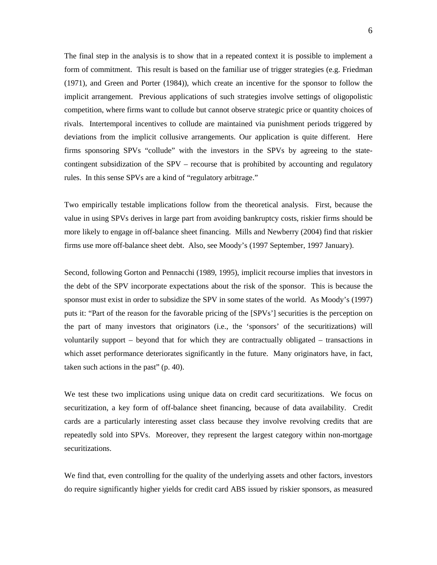The final step in the analysis is to show that in a repeated context it is possible to implement a form of commitment. This result is based on the familiar use of trigger strategies (e.g. Friedman (1971), and Green and Porter (1984)), which create an incentive for the sponsor to follow the implicit arrangement. Previous applications of such strategies involve settings of oligopolistic competition, where firms want to collude but cannot observe strategic price or quantity choices of rivals. Intertemporal incentives to collude are maintained via punishment periods triggered by deviations from the implicit collusive arrangements. Our application is quite different. Here firms sponsoring SPVs "collude" with the investors in the SPVs by agreeing to the statecontingent subsidization of the SPV – recourse that is prohibited by accounting and regulatory rules. In this sense SPVs are a kind of "regulatory arbitrage."

Two empirically testable implications follow from the theoretical analysis. First, because the value in using SPVs derives in large part from avoiding bankruptcy costs, riskier firms should be more likely to engage in off-balance sheet financing. Mills and Newberry (2004) find that riskier firms use more off-balance sheet debt. Also, see Moody's (1997 September, 1997 January).

Second, following Gorton and Pennacchi (1989, 1995), implicit recourse implies that investors in the debt of the SPV incorporate expectations about the risk of the sponsor. This is because the sponsor must exist in order to subsidize the SPV in some states of the world. As Moody's (1997) puts it: "Part of the reason for the favorable pricing of the [SPVs'] securities is the perception on the part of many investors that originators (i.e., the 'sponsors' of the securitizations) will voluntarily support – beyond that for which they are contractually obligated – transactions in which asset performance deteriorates significantly in the future. Many originators have, in fact, taken such actions in the past" (p. 40).

We test these two implications using unique data on credit card securitizations. We focus on securitization, a key form of off-balance sheet financing, because of data availability. Credit cards are a particularly interesting asset class because they involve revolving credits that are repeatedly sold into SPVs. Moreover, they represent the largest category within non-mortgage securitizations.

We find that, even controlling for the quality of the underlying assets and other factors, investors do require significantly higher yields for credit card ABS issued by riskier sponsors, as measured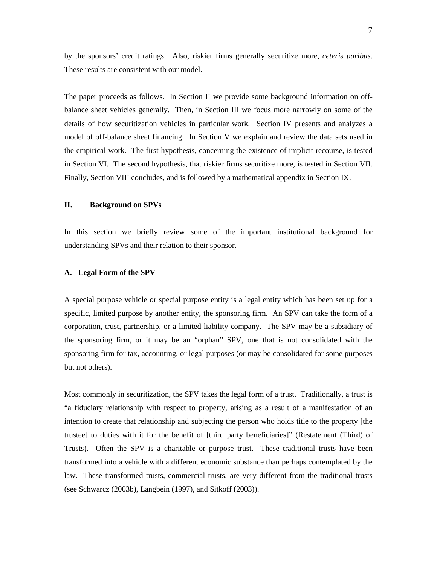by the sponsors' credit ratings. Also, riskier firms generally securitize more, *ceteris paribus*. These results are consistent with our model.

The paper proceeds as follows. In Section II we provide some background information on offbalance sheet vehicles generally. Then, in Section III we focus more narrowly on some of the details of how securitization vehicles in particular work. Section IV presents and analyzes a model of off-balance sheet financing. In Section V we explain and review the data sets used in the empirical work. The first hypothesis, concerning the existence of implicit recourse, is tested in Section VI. The second hypothesis, that riskier firms securitize more, is tested in Section VII. Finally, Section VIII concludes, and is followed by a mathematical appendix in Section IX.

# **II. Background on SPVs**

In this section we briefly review some of the important institutional background for understanding SPVs and their relation to their sponsor.

#### **A. Legal Form of the SPV**

A special purpose vehicle or special purpose entity is a legal entity which has been set up for a specific, limited purpose by another entity, the sponsoring firm. An SPV can take the form of a corporation, trust, partnership, or a limited liability company. The SPV may be a subsidiary of the sponsoring firm, or it may be an "orphan" SPV, one that is not consolidated with the sponsoring firm for tax, accounting, or legal purposes (or may be consolidated for some purposes but not others).

Most commonly in securitization, the SPV takes the legal form of a trust. Traditionally, a trust is "a fiduciary relationship with respect to property, arising as a result of a manifestation of an intention to create that relationship and subjecting the person who holds title to the property [the trustee] to duties with it for the benefit of [third party beneficiaries]" (Restatement (Third) of Trusts). Often the SPV is a charitable or purpose trust. These traditional trusts have been transformed into a vehicle with a different economic substance than perhaps contemplated by the law. These transformed trusts, commercial trusts, are very different from the traditional trusts (see Schwarcz (2003b), Langbein (1997), and Sitkoff (2003)).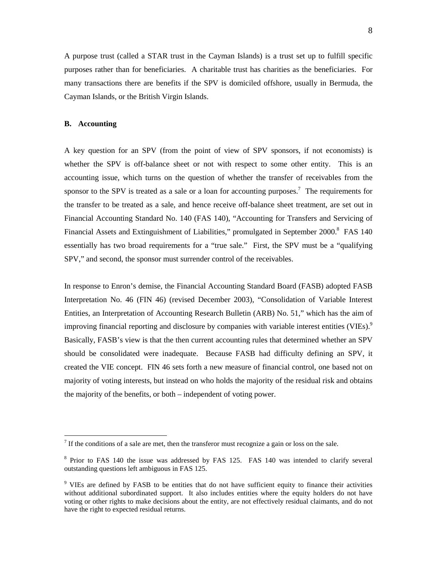A purpose trust (called a STAR trust in the Cayman Islands) is a trust set up to fulfill specific purposes rather than for beneficiaries. A charitable trust has charities as the beneficiaries. For many transactions there are benefits if the SPV is domiciled offshore, usually in Bermuda, the Cayman Islands, or the British Virgin Islands.

# **B. Accounting**

A key question for an SPV (from the point of view of SPV sponsors, if not economists) is whether the SPV is off-balance sheet or not with respect to some other entity. This is an accounting issue, which turns on the question of whether the transfer of receivables from the sponsor to the SPV is treated as a sale or a loan for accounting purposes.<sup>7</sup> The requirements for the transfer to be treated as a sale, and hence receive off-balance sheet treatment, are set out in Financial Accounting Standard No. 140 (FAS 140), "Accounting for Transfers and Servicing of Financial Assets and Extinguishment of Liabilities," promulgated in September 2000.<sup>8</sup> FAS 140 essentially has two broad requirements for a "true sale." First, the SPV must be a "qualifying SPV," and second, the sponsor must surrender control of the receivables.

In response to Enron's demise, the Financial Accounting Standard Board (FASB) adopted FASB Interpretation No. 46 (FIN 46) (revised December 2003), "Consolidation of Variable Interest Entities, an Interpretation of Accounting Research Bulletin (ARB) No. 51," which has the aim of improving financial reporting and disclosure by companies with variable interest entities (VIEs). $^{9}$ Basically, FASB's view is that the then current accounting rules that determined whether an SPV should be consolidated were inadequate. Because FASB had difficulty defining an SPV, it created the VIE concept. FIN 46 sets forth a new measure of financial control, one based not on majority of voting interests, but instead on who holds the majority of the residual risk and obtains the majority of the benefits, or both – independent of voting power.

<sup>&</sup>lt;sup>7</sup> If the conditions of a sale are met, then the transferor must recognize a gain or loss on the sale.

<sup>&</sup>lt;sup>8</sup> Prior to FAS 140 the issue was addressed by FAS 125. FAS 140 was intended to clarify several outstanding questions left ambiguous in FAS 125.

<sup>&</sup>lt;sup>9</sup> VIEs are defined by FASB to be entities that do not have sufficient equity to finance their activities without additional subordinated support. It also includes entities where the equity holders do not have voting or other rights to make decisions about the entity, are not effectively residual claimants, and do not have the right to expected residual returns.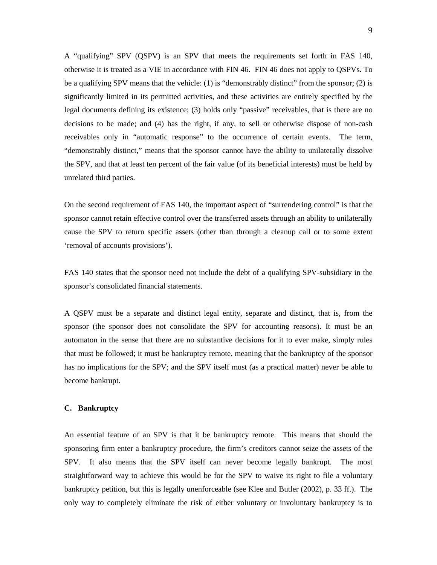A "qualifying" SPV (QSPV) is an SPV that meets the requirements set forth in FAS 140, otherwise it is treated as a VIE in accordance with FIN 46. FIN 46 does not apply to QSPVs. To be a qualifying SPV means that the vehicle: (1) is "demonstrably distinct" from the sponsor; (2) is significantly limited in its permitted activities, and these activities are entirely specified by the legal documents defining its existence; (3) holds only "passive" receivables, that is there are no decisions to be made; and (4) has the right, if any, to sell or otherwise dispose of non-cash receivables only in "automatic response" to the occurrence of certain events. The term, "demonstrably distinct," means that the sponsor cannot have the ability to unilaterally dissolve the SPV, and that at least ten percent of the fair value (of its beneficial interests) must be held by unrelated third parties.

On the second requirement of FAS 140, the important aspect of "surrendering control" is that the sponsor cannot retain effective control over the transferred assets through an ability to unilaterally cause the SPV to return specific assets (other than through a cleanup call or to some extent 'removal of accounts provisions').

FAS 140 states that the sponsor need not include the debt of a qualifying SPV-subsidiary in the sponsor's consolidated financial statements.

A QSPV must be a separate and distinct legal entity, separate and distinct, that is, from the sponsor (the sponsor does not consolidate the SPV for accounting reasons). It must be an automaton in the sense that there are no substantive decisions for it to ever make, simply rules that must be followed; it must be bankruptcy remote, meaning that the bankruptcy of the sponsor has no implications for the SPV; and the SPV itself must (as a practical matter) never be able to become bankrupt.

## **C. Bankruptcy**

An essential feature of an SPV is that it be bankruptcy remote. This means that should the sponsoring firm enter a bankruptcy procedure, the firm's creditors cannot seize the assets of the SPV. It also means that the SPV itself can never become legally bankrupt. The most straightforward way to achieve this would be for the SPV to waive its right to file a voluntary bankruptcy petition, but this is legally unenforceable (see Klee and Butler (2002), p. 33 ff.). The only way to completely eliminate the risk of either voluntary or involuntary bankruptcy is to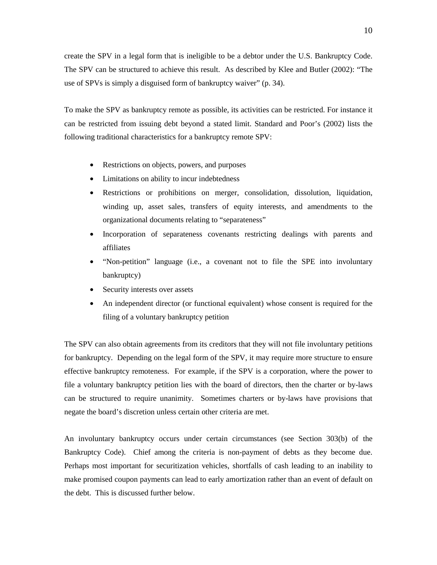create the SPV in a legal form that is ineligible to be a debtor under the U.S. Bankruptcy Code. The SPV can be structured to achieve this result. As described by Klee and Butler (2002): "The use of SPVs is simply a disguised form of bankruptcy waiver" (p. 34).

To make the SPV as bankruptcy remote as possible, its activities can be restricted. For instance it can be restricted from issuing debt beyond a stated limit. Standard and Poor's (2002) lists the following traditional characteristics for a bankruptcy remote SPV:

- Restrictions on objects, powers, and purposes
- Limitations on ability to incur indebtedness
- Restrictions or prohibitions on merger, consolidation, dissolution, liquidation, winding up, asset sales, transfers of equity interests, and amendments to the organizational documents relating to "separateness"
- Incorporation of separateness covenants restricting dealings with parents and affiliates
- "Non-petition" language (i.e., a covenant not to file the SPE into involuntary bankruptcy)
- Security interests over assets
- An independent director (or functional equivalent) whose consent is required for the filing of a voluntary bankruptcy petition

The SPV can also obtain agreements from its creditors that they will not file involuntary petitions for bankruptcy. Depending on the legal form of the SPV, it may require more structure to ensure effective bankruptcy remoteness. For example, if the SPV is a corporation, where the power to file a voluntary bankruptcy petition lies with the board of directors, then the charter or by-laws can be structured to require unanimity. Sometimes charters or by-laws have provisions that negate the board's discretion unless certain other criteria are met.

An involuntary bankruptcy occurs under certain circumstances (see Section 303(b) of the Bankruptcy Code). Chief among the criteria is non-payment of debts as they become due. Perhaps most important for securitization vehicles, shortfalls of cash leading to an inability to make promised coupon payments can lead to early amortization rather than an event of default on the debt. This is discussed further below.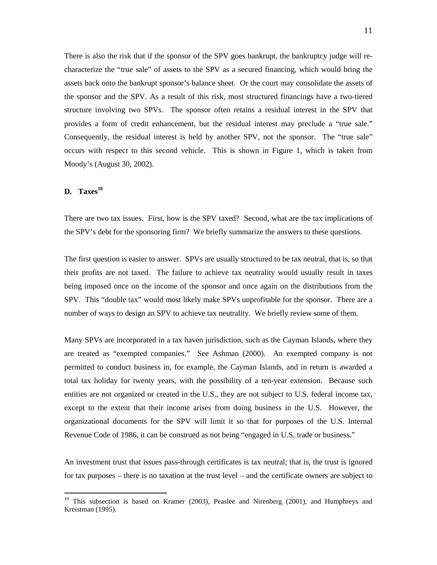There is also the risk that if the sponsor of the SPV goes bankrupt, the bankruptcy judge will recharacterize the "true sale" of assets to the SPV as a secured financing, which would bring the assets back onto the bankrupt sponsor's balance sheet. Or the court may consolidate the assets of the sponsor and the SPV. As a result of this risk, most structured financings have a two-tiered structure involving two SPVs. The sponsor often retains a residual interest in the SPV that provides a form of credit enhancement, but the residual interest may preclude a "true sale." Consequently, the residual interest is held by another SPV, not the sponsor. The "true sale" occurs with respect to this second vehicle. This is shown in Figure 1, which is taken from Moody's (August 30, 2002).

# **D. Taxes10**

 $\overline{a}$ 

There are two tax issues. First, how is the SPV taxed? Second, what are the tax implications of the SPV's debt for the sponsoring firm? We briefly summarize the answers to these questions.

The first question is easier to answer. SPVs are usually structured to be tax neutral, that is, so that their profits are not taxed. The failure to achieve tax neutrality would usually result in taxes being imposed once on the income of the sponsor and once again on the distributions from the SPV. This "double tax" would most likely make SPVs unprofitable for the sponsor. There are a number of ways to design an SPV to achieve tax neutrality. We briefly review some of them.

Many SPVs are incorporated in a tax haven jurisdiction, such as the Cayman Islands, where they are treated as "exempted companies." See Ashman (2000). An exempted company is not permitted to conduct business in, for example, the Cayman Islands, and in return is awarded a total tax holiday for twenty years, with the possibility of a ten-year extension. Because such entities are not organized or created in the U.S., they are not subject to U.S. federal income tax, except to the extent that their income arises from doing business in the U.S. However, the organizational documents for the SPV will limit it so that for purposes of the U.S. Internal Revenue Code of 1986, it can be construed as not being "engaged in U.S. trade or business."

An investment trust that issues pass-through certificates is tax neutral; that is, the trust is ignored for tax purposes – there is no taxation at the trust level – and the certificate owners are subject to

 $10$  This subsection is based on Kramer (2003), Peaslee and Nirenberg (2001), and Humphreys and Kreistman (1995).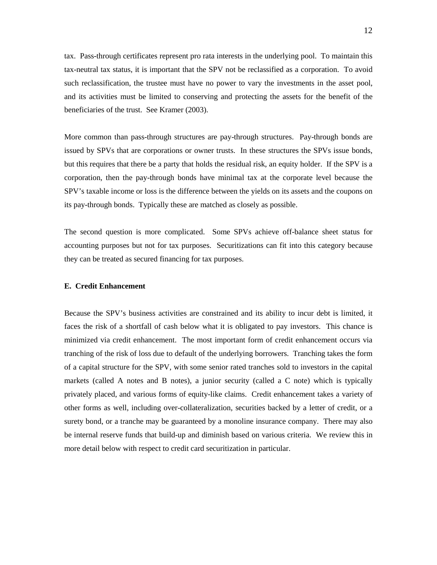tax. Pass-through certificates represent pro rata interests in the underlying pool. To maintain this tax-neutral tax status, it is important that the SPV not be reclassified as a corporation. To avoid such reclassification, the trustee must have no power to vary the investments in the asset pool, and its activities must be limited to conserving and protecting the assets for the benefit of the beneficiaries of the trust. See Kramer (2003).

More common than pass-through structures are pay-through structures. Pay-through bonds are issued by SPVs that are corporations or owner trusts. In these structures the SPVs issue bonds, but this requires that there be a party that holds the residual risk, an equity holder. If the SPV is a corporation, then the pay-through bonds have minimal tax at the corporate level because the SPV's taxable income or loss is the difference between the yields on its assets and the coupons on its pay-through bonds. Typically these are matched as closely as possible.

The second question is more complicated. Some SPVs achieve off-balance sheet status for accounting purposes but not for tax purposes. Securitizations can fit into this category because they can be treated as secured financing for tax purposes.

## **E. Credit Enhancement**

Because the SPV's business activities are constrained and its ability to incur debt is limited, it faces the risk of a shortfall of cash below what it is obligated to pay investors. This chance is minimized via credit enhancement. The most important form of credit enhancement occurs via tranching of the risk of loss due to default of the underlying borrowers. Tranching takes the form of a capital structure for the SPV, with some senior rated tranches sold to investors in the capital markets (called A notes and B notes), a junior security (called a C note) which is typically privately placed, and various forms of equity-like claims. Credit enhancement takes a variety of other forms as well, including over-collateralization, securities backed by a letter of credit, or a surety bond, or a tranche may be guaranteed by a monoline insurance company. There may also be internal reserve funds that build-up and diminish based on various criteria. We review this in more detail below with respect to credit card securitization in particular.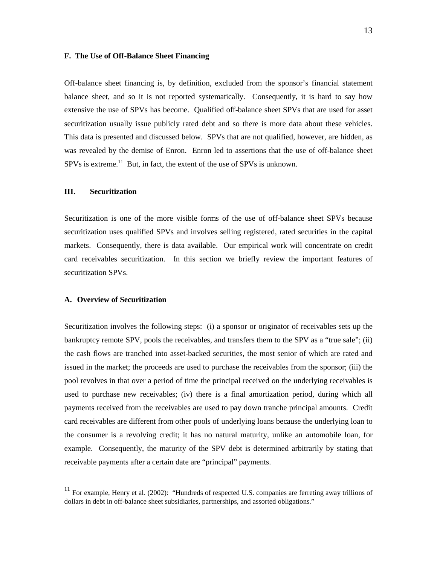#### **F. The Use of Off-Balance Sheet Financing**

Off-balance sheet financing is, by definition, excluded from the sponsor's financial statement balance sheet, and so it is not reported systematically. Consequently, it is hard to say how extensive the use of SPVs has become. Qualified off-balance sheet SPVs that are used for asset securitization usually issue publicly rated debt and so there is more data about these vehicles. This data is presented and discussed below. SPVs that are not qualified, however, are hidden, as was revealed by the demise of Enron. Enron led to assertions that the use of off-balance sheet  $SPVs$  is extreme.<sup>11</sup> But, in fact, the extent of the use of  $SPVs$  is unknown.

## **III. Securitization**

Securitization is one of the more visible forms of the use of off-balance sheet SPVs because securitization uses qualified SPVs and involves selling registered, rated securities in the capital markets. Consequently, there is data available. Our empirical work will concentrate on credit card receivables securitization. In this section we briefly review the important features of securitization SPVs.

# **A. Overview of Securitization**

 $\overline{a}$ 

Securitization involves the following steps: (i) a sponsor or originator of receivables sets up the bankruptcy remote SPV, pools the receivables, and transfers them to the SPV as a "true sale"; (ii) the cash flows are tranched into asset-backed securities, the most senior of which are rated and issued in the market; the proceeds are used to purchase the receivables from the sponsor; (iii) the pool revolves in that over a period of time the principal received on the underlying receivables is used to purchase new receivables; (iv) there is a final amortization period, during which all payments received from the receivables are used to pay down tranche principal amounts. Credit card receivables are different from other pools of underlying loans because the underlying loan to the consumer is a revolving credit; it has no natural maturity, unlike an automobile loan, for example. Consequently, the maturity of the SPV debt is determined arbitrarily by stating that receivable payments after a certain date are "principal" payments.

<sup>&</sup>lt;sup>11</sup> For example, Henry et al. (2002): "Hundreds of respected U.S. companies are ferreting away trillions of dollars in debt in off-balance sheet subsidiaries, partnerships, and assorted obligations."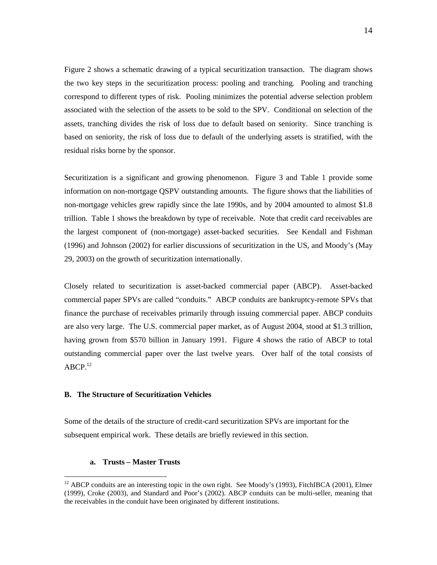Figure 2 shows a schematic drawing of a typical securitization transaction. The diagram shows the two key steps in the securitization process: pooling and tranching. Pooling and tranching correspond to different types of risk. Pooling minimizes the potential adverse selection problem associated with the selection of the assets to be sold to the SPV. Conditional on selection of the assets, tranching divides the risk of loss due to default based on seniority. Since tranching is based on seniority, the risk of loss due to default of the underlying assets is stratified, with the residual risks borne by the sponsor.

Securitization is a significant and growing phenomenon. Figure 3 and Table 1 provide some information on non-mortgage QSPV outstanding amounts. The figure shows that the liabilities of non-mortgage vehicles grew rapidly since the late 1990s, and by 2004 amounted to almost \$1.8 trillion. Table 1 shows the breakdown by type of receivable. Note that credit card receivables are the largest component of (non-mortgage) asset-backed securities. See Kendall and Fishman (1996) and Johnson (2002) for earlier discussions of securitization in the US, and Moody's (May 29, 2003) on the growth of securitization internationally.

Closely related to securitization is asset-backed commercial paper (ABCP). Asset-backed commercial paper SPVs are called "conduits." ABCP conduits are bankruptcy-remote SPVs that finance the purchase of receivables primarily through issuing commercial paper. ABCP conduits are also very large. The U.S. commercial paper market, as of August 2004, stood at \$1.3 trillion, having grown from \$570 billion in January 1991. Figure 4 shows the ratio of ABCP to total outstanding commercial paper over the last twelve years. Over half of the total consists of  $ABCP<sup>12</sup>$ 

# **B. The Structure of Securitization Vehicles**

Some of the details of the structure of credit-card securitization SPVs are important for the subsequent empirical work. These details are briefly reviewed in this section.

# **a. Trusts – Master Trusts**

 $12$  ABCP conduits are an interesting topic in the own right. See Moody's (1993), FitchIBCA (2001), Elmer (1999), Croke (2003), and Standard and Poor's (2002). ABCP conduits can be multi-seller, meaning that the receivables in the conduit have been originated by different institutions.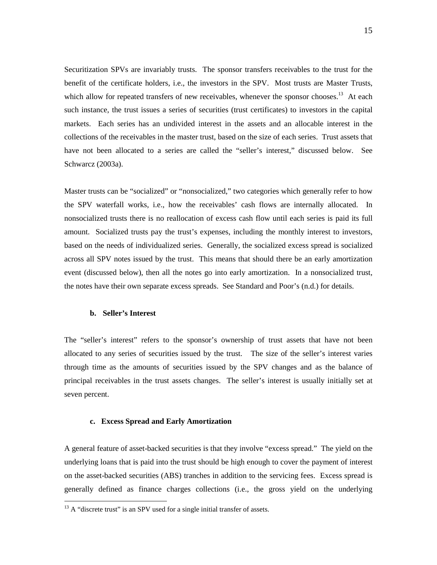Securitization SPVs are invariably trusts. The sponsor transfers receivables to the trust for the benefit of the certificate holders, i.e., the investors in the SPV. Most trusts are Master Trusts, which allow for repeated transfers of new receivables, whenever the sponsor chooses.<sup>13</sup> At each such instance, the trust issues a series of securities (trust certificates) to investors in the capital markets. Each series has an undivided interest in the assets and an allocable interest in the collections of the receivables in the master trust, based on the size of each series. Trust assets that have not been allocated to a series are called the "seller's interest," discussed below. See Schwarcz (2003a).

Master trusts can be "socialized" or "nonsocialized," two categories which generally refer to how the SPV waterfall works, i.e., how the receivables' cash flows are internally allocated. In nonsocialized trusts there is no reallocation of excess cash flow until each series is paid its full amount. Socialized trusts pay the trust's expenses, including the monthly interest to investors, based on the needs of individualized series. Generally, the socialized excess spread is socialized across all SPV notes issued by the trust. This means that should there be an early amortization event (discussed below), then all the notes go into early amortization. In a nonsocialized trust, the notes have their own separate excess spreads. See Standard and Poor's (n.d.) for details.

## **b. Seller's Interest**

 $\overline{a}$ 

The "seller's interest" refers to the sponsor's ownership of trust assets that have not been allocated to any series of securities issued by the trust. The size of the seller's interest varies through time as the amounts of securities issued by the SPV changes and as the balance of principal receivables in the trust assets changes. The seller's interest is usually initially set at seven percent.

# **c. Excess Spread and Early Amortization**

A general feature of asset-backed securities is that they involve "excess spread." The yield on the underlying loans that is paid into the trust should be high enough to cover the payment of interest on the asset-backed securities (ABS) tranches in addition to the servicing fees. Excess spread is generally defined as finance charges collections (i.e., the gross yield on the underlying

 $13$  A "discrete trust" is an SPV used for a single initial transfer of assets.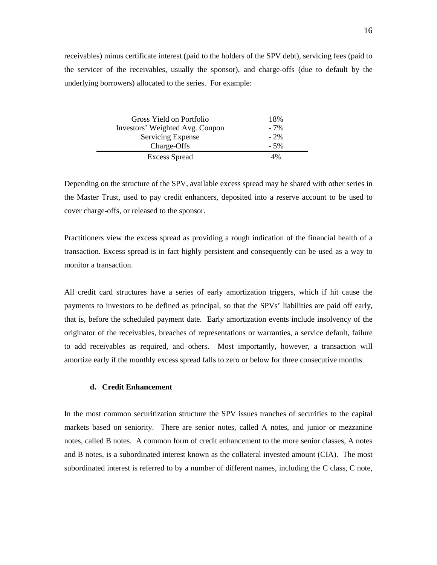receivables) minus certificate interest (paid to the holders of the SPV debt), servicing fees (paid to the servicer of the receivables, usually the sponsor), and charge-offs (due to default by the underlying borrowers) allocated to the series. For example:

| Gross Yield on Portfolio        | 18%    |
|---------------------------------|--------|
| Investors' Weighted Avg. Coupon | $-7%$  |
| Servicing Expense               | $-2\%$ |
| Charge-Offs                     | $-5%$  |
| <b>Excess Spread</b>            | 4%     |

Depending on the structure of the SPV, available excess spread may be shared with other series in the Master Trust, used to pay credit enhancers, deposited into a reserve account to be used to cover charge-offs, or released to the sponsor.

Practitioners view the excess spread as providing a rough indication of the financial health of a transaction. Excess spread is in fact highly persistent and consequently can be used as a way to monitor a transaction.

All credit card structures have a series of early amortization triggers, which if hit cause the payments to investors to be defined as principal, so that the SPVs' liabilities are paid off early, that is, before the scheduled payment date. Early amortization events include insolvency of the originator of the receivables, breaches of representations or warranties, a service default, failure to add receivables as required, and others. Most importantly, however, a transaction will amortize early if the monthly excess spread falls to zero or below for three consecutive months.

# **d. Credit Enhancement**

In the most common securitization structure the SPV issues tranches of securities to the capital markets based on seniority. There are senior notes, called A notes, and junior or mezzanine notes, called B notes. A common form of credit enhancement to the more senior classes, A notes and B notes, is a subordinated interest known as the collateral invested amount (CIA). The most subordinated interest is referred to by a number of different names, including the C class, C note,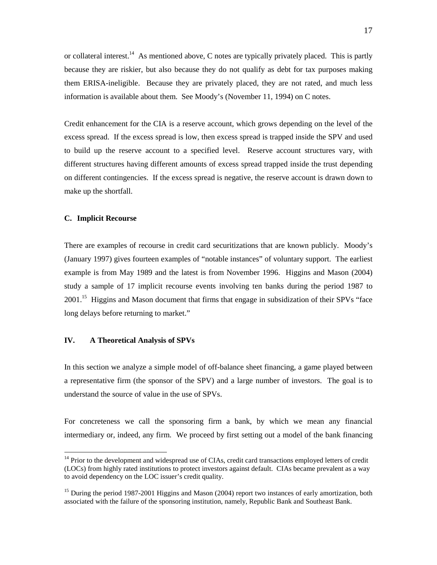or collateral interest.<sup>14</sup> As mentioned above, C notes are typically privately placed. This is partly because they are riskier, but also because they do not qualify as debt for tax purposes making them ERISA-ineligible. Because they are privately placed, they are not rated, and much less information is available about them. See Moody's (November 11, 1994) on C notes.

Credit enhancement for the CIA is a reserve account, which grows depending on the level of the excess spread. If the excess spread is low, then excess spread is trapped inside the SPV and used to build up the reserve account to a specified level. Reserve account structures vary, with different structures having different amounts of excess spread trapped inside the trust depending on different contingencies. If the excess spread is negative, the reserve account is drawn down to make up the shortfall.

## **C. Implicit Recourse**

 $\overline{a}$ 

There are examples of recourse in credit card securitizations that are known publicly. Moody's (January 1997) gives fourteen examples of "notable instances" of voluntary support. The earliest example is from May 1989 and the latest is from November 1996. Higgins and Mason (2004) study a sample of 17 implicit recourse events involving ten banks during the period 1987 to 2001.<sup>15</sup> Higgins and Mason document that firms that engage in subsidization of their SPVs "face long delays before returning to market."

# **IV. A Theoretical Analysis of SPVs**

In this section we analyze a simple model of off-balance sheet financing, a game played between a representative firm (the sponsor of the SPV) and a large number of investors. The goal is to understand the source of value in the use of SPVs.

For concreteness we call the sponsoring firm a bank, by which we mean any financial intermediary or, indeed, any firm. We proceed by first setting out a model of the bank financing

<sup>&</sup>lt;sup>14</sup> Prior to the development and widespread use of CIAs, credit card transactions employed letters of credit (LOCs) from highly rated institutions to protect investors against default. CIAs became prevalent as a way to avoid dependency on the LOC issuer's credit quality.

<sup>&</sup>lt;sup>15</sup> During the period 1987-2001 Higgins and Mason (2004) report two instances of early amortization, both associated with the failure of the sponsoring institution, namely, Republic Bank and Southeast Bank.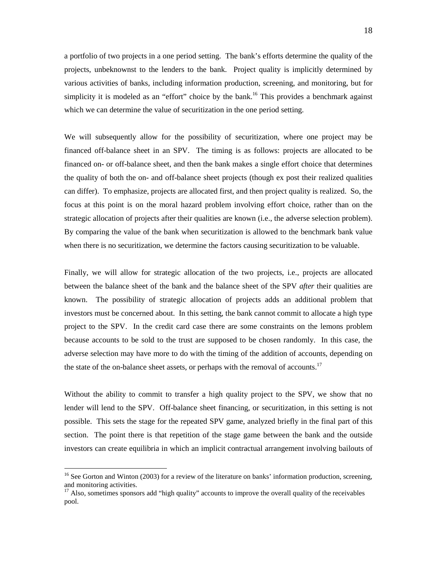a portfolio of two projects in a one period setting. The bank's efforts determine the quality of the projects, unbeknownst to the lenders to the bank. Project quality is implicitly determined by various activities of banks, including information production, screening, and monitoring, but for simplicity it is modeled as an "effort" choice by the bank.<sup>16</sup> This provides a benchmark against which we can determine the value of securitization in the one period setting.

We will subsequently allow for the possibility of securitization, where one project may be financed off-balance sheet in an SPV. The timing is as follows: projects are allocated to be financed on- or off-balance sheet, and then the bank makes a single effort choice that determines the quality of both the on- and off-balance sheet projects (though ex post their realized qualities can differ). To emphasize, projects are allocated first, and then project quality is realized. So, the focus at this point is on the moral hazard problem involving effort choice, rather than on the strategic allocation of projects after their qualities are known (i.e., the adverse selection problem). By comparing the value of the bank when securitization is allowed to the benchmark bank value when there is no securitization, we determine the factors causing securitization to be valuable.

Finally, we will allow for strategic allocation of the two projects, i.e., projects are allocated between the balance sheet of the bank and the balance sheet of the SPV *after* their qualities are known. The possibility of strategic allocation of projects adds an additional problem that investors must be concerned about. In this setting, the bank cannot commit to allocate a high type project to the SPV. In the credit card case there are some constraints on the lemons problem because accounts to be sold to the trust are supposed to be chosen randomly. In this case, the adverse selection may have more to do with the timing of the addition of accounts, depending on the state of the on-balance sheet assets, or perhaps with the removal of accounts.<sup>17</sup>

Without the ability to commit to transfer a high quality project to the SPV, we show that no lender will lend to the SPV. Off-balance sheet financing, or securitization, in this setting is not possible. This sets the stage for the repeated SPV game, analyzed briefly in the final part of this section. The point there is that repetition of the stage game between the bank and the outside investors can create equilibria in which an implicit contractual arrangement involving bailouts of

<sup>&</sup>lt;sup>16</sup> See Gorton and Winton (2003) for a review of the literature on banks' information production, screening, and monitoring activities.

<sup>&</sup>lt;sup>17</sup> Also, sometimes sponsors add "high quality" accounts to improve the overall quality of the receivables pool.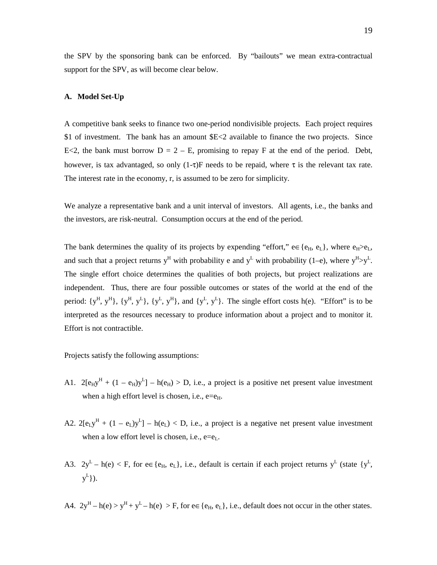the SPV by the sponsoring bank can be enforced. By "bailouts" we mean extra-contractual support for the SPV, as will become clear below.

# **A. Model Set-Up**

A competitive bank seeks to finance two one-period nondivisible projects. Each project requires \$1 of investment. The bank has an amount \$E<2 available to finance the two projects. Since E<2, the bank must borrow  $D = 2 - E$ , promising to repay F at the end of the period. Debt, however, is tax advantaged, so only  $(1-\tau)F$  needs to be repaid, where  $\tau$  is the relevant tax rate. The interest rate in the economy, r, is assumed to be zero for simplicity.

We analyze a representative bank and a unit interval of investors. All agents, i.e., the banks and the investors, are risk-neutral. Consumption occurs at the end of the period.

The bank determines the quality of its projects by expending "effort,"  $e \in \{e_H, e_L\}$ , where  $e_H \ge e_L$ , and such that a project returns  $y^H$  with probability e and  $y^L$  with probability (1–e), where  $y^H > y^L$ . The single effort choice determines the qualities of both projects, but project realizations are independent. Thus, there are four possible outcomes or states of the world at the end of the period:  $\{y^H, y^H\}$ ,  $\{y^L, y^L\}$ ,  $\{y^L, y^H\}$ , and  $\{y^L, y^L\}$ . The single effort costs h(e). "Effort" is to be interpreted as the resources necessary to produce information about a project and to monitor it. Effort is not contractible.

Projects satisfy the following assumptions:

- A1.  $2[e_Hy^H + (1 e_H)y^L] h(e_H) > D$ , i.e., a project is a positive net present value investment when a high effort level is chosen, i.e.,  $e=e_H$ .
- A2.  $2[e_L y^H + (1 e_L)y^L] h(e_L) < D$ , i.e., a project is a negative net present value investment when a low effort level is chosen, i.e.,  $e=e<sub>L</sub>$ .
- A3.  $2y^L h(e) < F$ , for e $\in \{e_H, e_L\}$ , i.e., default is certain if each project returns  $y^L$  (state  $\{y^L,$ y<sup>L</sup>}).
- A4.  $2y^H h(e) > y^H + y^L h(e) > F$ , for  $e \in \{e_H, e_L\}$ , i.e., default does not occur in the other states.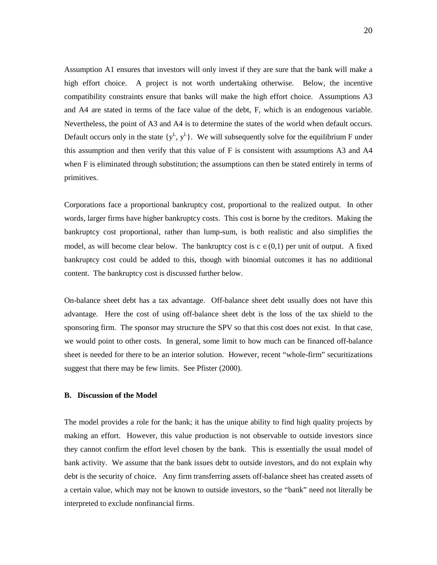Assumption A1 ensures that investors will only invest if they are sure that the bank will make a high effort choice. A project is not worth undertaking otherwise. Below, the incentive compatibility constraints ensure that banks will make the high effort choice. Assumptions A3 and A4 are stated in terms of the face value of the debt, F, which is an endogenous variable. Nevertheless, the point of A3 and A4 is to determine the states of the world when default occurs. Default occurs only in the state  $\{y^L, y^L\}$ . We will subsequently solve for the equilibrium F under this assumption and then verify that this value of F is consistent with assumptions A3 and A4 when F is eliminated through substitution; the assumptions can then be stated entirely in terms of primitives.

Corporations face a proportional bankruptcy cost, proportional to the realized output. In other words, larger firms have higher bankruptcy costs. This cost is borne by the creditors. Making the bankruptcy cost proportional, rather than lump-sum, is both realistic and also simplifies the model, as will become clear below. The bankruptcy cost is  $c \in (0,1)$  per unit of output. A fixed bankruptcy cost could be added to this, though with binomial outcomes it has no additional content. The bankruptcy cost is discussed further below.

On-balance sheet debt has a tax advantage. Off-balance sheet debt usually does not have this advantage. Here the cost of using off-balance sheet debt is the loss of the tax shield to the sponsoring firm. The sponsor may structure the SPV so that this cost does not exist. In that case, we would point to other costs. In general, some limit to how much can be financed off-balance sheet is needed for there to be an interior solution. However, recent "whole-firm" securitizations suggest that there may be few limits. See Pfister (2000).

#### **B. Discussion of the Model**

The model provides a role for the bank; it has the unique ability to find high quality projects by making an effort. However, this value production is not observable to outside investors since they cannot confirm the effort level chosen by the bank. This is essentially the usual model of bank activity. We assume that the bank issues debt to outside investors, and do not explain why debt is the security of choice. Any firm transferring assets off-balance sheet has created assets of a certain value, which may not be known to outside investors, so the "bank" need not literally be interpreted to exclude nonfinancial firms.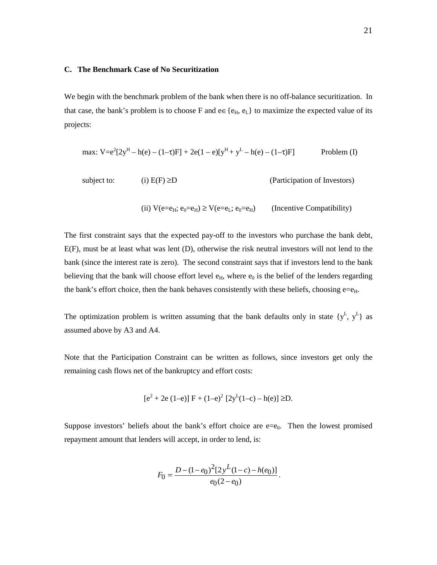# **C. The Benchmark Case of No Securitization**

 $\overline{a}$   $\overline{v}$ 

We begin with the benchmark problem of the bank when there is no off-balance securitization. In that case, the bank's problem is to choose F and  $e \in \{e_H, e_L\}$  to maximize the expected value of its projects:

max: V=e<sup>2</sup>[2y<sup>H</sup> – h(e) – (1–
$$
\tau
$$
)F] + 2e(1 – e)[y<sup>H</sup> + y<sup>L</sup> – h(e) – (1– $\tau$ )F] Problem (I)  
subject to: (i) E(F) ≥D (Participation of Investors)  
(ii) V(e=e<sub>H</sub>; e<sub>0</sub>=e<sub>H</sub>) ≥ V(e=e<sub>L</sub>; e<sub>0</sub>=e<sub>H</sub>) (Incentive Compatibility)

The first constraint says that the expected pay-off to the investors who purchase the bank debt, E(F), must be at least what was lent (D), otherwise the risk neutral investors will not lend to the bank (since the interest rate is zero). The second constraint says that if investors lend to the bank believing that the bank will choose effort level  $e_H$ , where  $e_0$  is the belief of the lenders regarding the bank's effort choice, then the bank behaves consistently with these beliefs, choosing  $e=e_H$ .

The optimization problem is written assuming that the bank defaults only in state  $\{y^L, y^L\}$  as assumed above by A3 and A4.

Note that the Participation Constraint can be written as follows, since investors get only the remaining cash flows net of the bankruptcy and effort costs:

$$
[e2 + 2e (1-e)] F + (1-e)2 [2yL(1-c) – h(e)] \ge D.
$$

Suppose investors' beliefs about the bank's effort choice are  $e=e_0$ . Then the lowest promised repayment amount that lenders will accept, in order to lend, is:

$$
F_0 = \frac{D - (1 - e_0)^2 [2y^L(1 - c) - h(e_0)]}{e_0(2 - e_0)}.
$$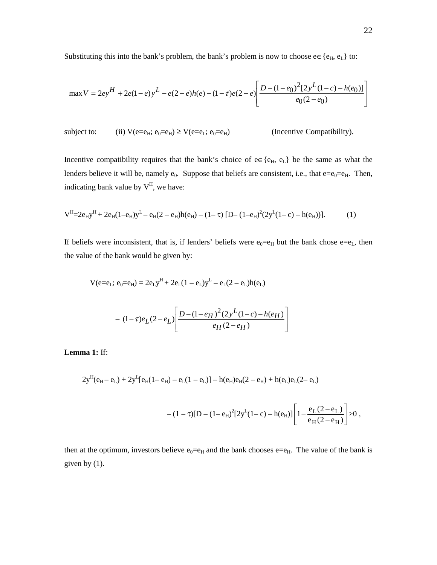Substituting this into the bank's problem, the bank's problem is now to choose  $e \in \{e_H, e_L\}$  to:

$$
\max V = 2ey^{H} + 2e(1-e)y^{L} - e(2-e)h(e) - (1-\tau)e(2-e)\left[\frac{D - (1-e_{0})^{2}[2y^{L}(1-c) - h(e_{0})]}{e_{0}(2-e_{0})}\right]
$$

subject to: (ii)  $V(e=e_H; e_0=e_H) \ge V(e=e_L; e_0=e_H)$  (Incentive Compatibility).

Incentive compatibility requires that the bank's choice of  $e \in \{e_H, e_L\}$  be the same as what the lenders believe it will be, namely  $e_0$ . Suppose that beliefs are consistent, i.e., that  $e=e_0=e_H$ . Then, indicating bank value by  $V<sup>H</sup>$ , we have:

$$
V^{H} = 2e_H y^H + 2e_H (1 - e_H) y^L - e_H (2 - e_H) h(e_H) - (1 - \tau) [D - (1 - e_H)^2 (2y^L (1 - c) - h(e_H))].
$$
 (1)

If beliefs were inconsistent, that is, if lenders' beliefs were  $e_0 = e_H$  but the bank chose  $e = e_L$ , then the value of the bank would be given by:

$$
V(e = e_L; e_0 = e_H) = 2e_L y^H + 2e_L (1 - e_L) y^L - e_L (2 - e_L) h(e_L)
$$

$$
-(1-\tau)e_L(2-e_L)\left[\frac{D-(1-e_H)^2(2y^L(1-c)-h(e_H)}{e_H(2-e_H)}\right]
$$

**Lemma 1:** If:

$$
2y^H(e_H - e_L) + 2y^L[e_H(1 - e_H) - e_L(1 - e_L)] - h(e_H)e_H(2 - e_H) + h(e_L)e_L(2 - e_L)
$$
  

$$
- (1 - \tau)[D - (1 - e_H)^2[2y^L(1 - c) - h(e_H)]\left[1 - \frac{e_L(2 - e_L)}{e_H(2 - e_H)}\right] > 0,
$$

then at the optimum, investors believe  $e_0 = e_H$  and the bank chooses  $e = e_H$ . The value of the bank is given by (1).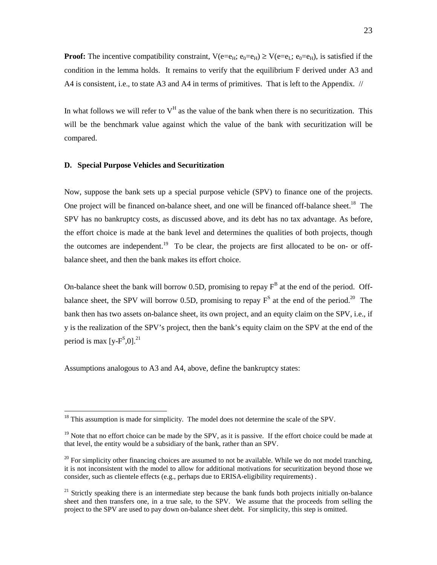**Proof:** The incentive compatibility constraint,  $V(e=e_H; e_0=e_H) \ge V(e=e_L; e_0=e_H)$ , is satisfied if the condition in the lemma holds. It remains to verify that the equilibrium F derived under A3 and A4 is consistent, i.e., to state A3 and A4 in terms of primitives. That is left to the Appendix. //

In what follows we will refer to  $V<sup>H</sup>$  as the value of the bank when there is no securitization. This will be the benchmark value against which the value of the bank with securitization will be compared.

# **D. Special Purpose Vehicles and Securitization**

Now, suppose the bank sets up a special purpose vehicle (SPV) to finance one of the projects. One project will be financed on-balance sheet, and one will be financed off-balance sheet.<sup>18</sup> The SPV has no bankruptcy costs, as discussed above, and its debt has no tax advantage. As before, the effort choice is made at the bank level and determines the qualities of both projects, though the outcomes are independent.<sup>19</sup> To be clear, the projects are first allocated to be on- or offbalance sheet, and then the bank makes its effort choice.

On-balance sheet the bank will borrow 0.5D, promising to repay  $F<sup>B</sup>$  at the end of the period. Offbalance sheet, the SPV will borrow 0.5D, promising to repay  $F<sup>S</sup>$  at the end of the period.<sup>20</sup> The bank then has two assets on-balance sheet, its own project, and an equity claim on the SPV, i.e., if y is the realization of the SPV's project, then the bank's equity claim on the SPV at the end of the period is max [y- $F^S$ ,0].<sup>21</sup>

Assumptions analogous to A3 and A4, above, define the bankruptcy states:

 $18$  This assumption is made for simplicity. The model does not determine the scale of the SPV.

 $19$  Note that no effort choice can be made by the SPV, as it is passive. If the effort choice could be made at that level, the entity would be a subsidiary of the bank, rather than an SPV.

 $20$  For simplicity other financing choices are assumed to not be available. While we do not model tranching, it is not inconsistent with the model to allow for additional motivations for securitization beyond those we consider, such as clientele effects (e.g., perhaps due to ERISA-eligibility requirements) .

 $21$  Strictly speaking there is an intermediate step because the bank funds both projects initially on-balance sheet and then transfers one, in a true sale, to the SPV. We assume that the proceeds from selling the project to the SPV are used to pay down on-balance sheet debt. For simplicity, this step is omitted.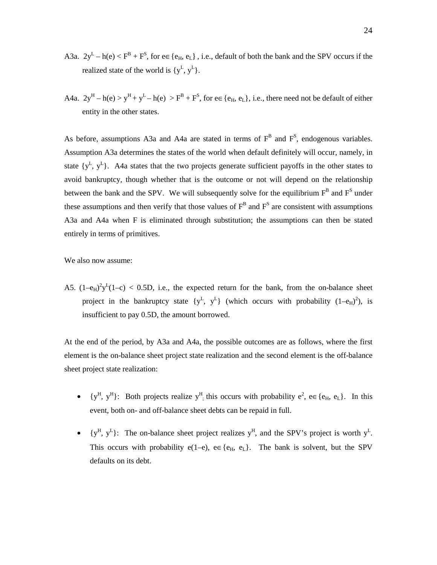- A3a.  $2y^L h(e) < F^B + F^S$ , for e $\in \{e_H, e_L\}$ , i.e., default of both the bank and the SPV occurs if the realized state of the world is  $\{y^L, y^L\}$ .
- A4a.  $2y^H h(e) > y^H + y^L h(e) > F^B + F^S$ , for e $\in \{e_H, e_L\}$ , i.e., there need not be default of either entity in the other states.

As before, assumptions A3a and A4a are stated in terms of  $F<sup>B</sup>$  and  $F<sup>S</sup>$ , endogenous variables. Assumption A3a determines the states of the world when default definitely will occur, namely, in state  $\{y^L, y^L\}$ . A4a states that the two projects generate sufficient payoffs in the other states to avoid bankruptcy, though whether that is the outcome or not will depend on the relationship between the bank and the SPV. We will subsequently solve for the equilibrium  $F^B$  and  $F^S$  under these assumptions and then verify that those values of  $F^B$  and  $F^S$  are consistent with assumptions A3a and A4a when F is eliminated through substitution; the assumptions can then be stated entirely in terms of primitives.

We also now assume:

A5.  $(1-e_H)^2 y^L(1-c) < 0.5D$ , i.e., the expected return for the bank, from the on-balance sheet project in the bankruptcy state  $\{y^L, y^L\}$  (which occurs with probability  $(1-e_H)^2$ ), is insufficient to pay 0.5D, the amount borrowed.

At the end of the period, by A3a and A4a, the possible outcomes are as follows, where the first element is the on-balance sheet project state realization and the second element is the off-balance sheet project state realization:

- $\{y^H, y^H\}$ : Both projects realize  $y^H$ ; this occurs with probability  $e^2$ ,  $e \in \{e_H, e_L\}$ . In this event, both on- and off-balance sheet debts can be repaid in full.
- $\{y^H, y^L\}$ : The on-balance sheet project realizes  $y^H$ , and the SPV's project is worth  $y^L$ . This occurs with probability e(1–e), e∈{e<sub>H</sub>, e<sub>L</sub>}. The bank is solvent, but the SPV defaults on its debt.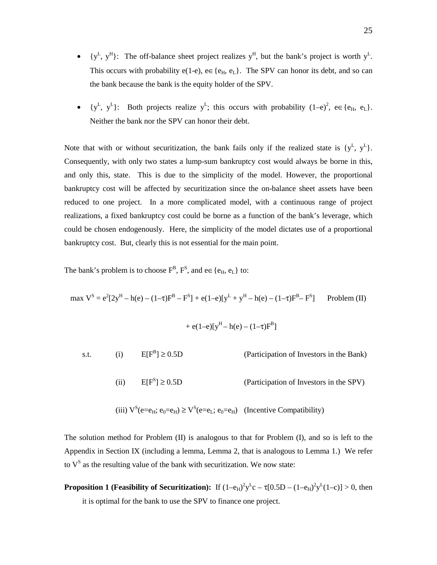- $\{y^L, y^H\}$ : The off-balance sheet project realizes  $y^H$ , but the bank's project is worth  $y^L$ . This occurs with probability e(1-e), e∈{e<sub>H</sub>, e<sub>L</sub>}. The SPV can honor its debt, and so can the bank because the bank is the equity holder of the SPV.
- $\{y^L, y^L\}$ : Both projects realize  $y^L$ ; this occurs with probability  $(1-e)^2$ , e $\in \{e_H, e_L\}$ . Neither the bank nor the SPV can honor their debt.

Note that with or without securitization, the bank fails only if the realized state is  $\{y^L, y^L\}$ . Consequently, with only two states a lump-sum bankruptcy cost would always be borne in this, and only this, state. This is due to the simplicity of the model. However, the proportional bankruptcy cost will be affected by securitization since the on-balance sheet assets have been reduced to one project. In a more complicated model, with a continuous range of project realizations, a fixed bankruptcy cost could be borne as a function of the bank's leverage, which could be chosen endogenously. Here, the simplicity of the model dictates use of a proportional bankruptcy cost. But, clearly this is not essential for the main point.

The bank's problem is to choose  $F^B$ ,  $F^S$ , and e $\in \{e_H, e_L\}$  to:

$$
\max V^{S} = e^{2}[2y^{H} - h(e) - (1-\tau)F^{B} - F^{S}] + e(1-e)[y^{L} + y^{H} - h(e) - (1-\tau)F^{B} - F^{S}] \quad \text{Problem (II)}
$$

+ 
$$
e(1-e)[y^H - h(e) - (1-\tau)F^B]
$$

s.t. (i)  $E[F^{B}] \ge 0.5D$ (Participation of Investors in the Bank) (ii)  $E[F^S] \ge 0.5D$  $(Participation of Investors in the SPV)$ 

(iii)  $V^S(e=e_H; e_0=e_H) \ge V^S(e=e_L; e_0=e_H)$  (Incentive Compatibility)

The solution method for Problem (II) is analogous to that for Problem (I), and so is left to the Appendix in Section IX (including a lemma, Lemma 2, that is analogous to Lemma 1.) We refer to  $V^S$  as the resulting value of the bank with securitization. We now state:

**Proposition 1 (Feasibility of Securitization):** If  $(1-e_H)^2y^Lc - \tau[0.5D - (1-e_H)^2y^L(1-c)] > 0$ , then it is optimal for the bank to use the SPV to finance one project.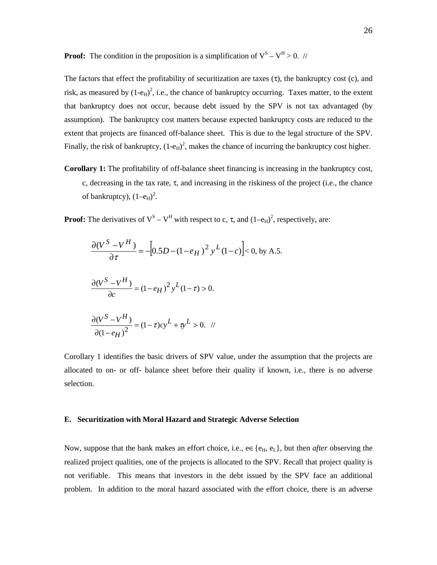**Proof:** The condition in the proposition is a simplification of  $V^S - V^H > 0$ . //

The factors that effect the profitability of securitization are taxes  $(\tau)$ , the bankruptcy cost  $(c)$ , and risk, as measured by  $(1-e_H)^2$ , i.e., the chance of bankruptcy occurring. Taxes matter, to the extent that bankruptcy does not occur, because debt issued by the SPV is not tax advantaged (by assumption). The bankruptcy cost matters because expected bankruptcy costs are reduced to the extent that projects are financed off-balance sheet. This is due to the legal structure of the SPV. Finally, the risk of bankruptcy,  $(1-e_H)^2$ , makes the chance of incurring the bankruptcy cost higher.

**Corollary 1:** The profitability of off-balance sheet financing is increasing in the bankruptcy cost, c, decreasing in the tax rate,  $\tau$ , and increasing in the riskiness of the project (i.e., the chance of bankruptcy),  $(1-e_H)^2$ .

**Proof:** The derivatives of  $V^S - V^H$  with respect to c,  $\tau$ , and  $(1-e_H)^2$ , respectively, are:

$$
\frac{\partial (V^S - V^H)}{\partial \tau} = -[0.5D - (1 - e_H)^2 y^L (1 - c)] < 0, \text{ by A.5.}
$$

$$
\frac{\partial (V^S - V^H)}{\partial c} = (1 - e_H)^2 y^L (1 - \tau) > 0.
$$

$$
\frac{\partial (V^S - V^H)}{\partial (1 - e_H)^2} = (1 - \tau) c y^L + \tau y^L > 0. \quad \text{if}
$$

Corollary 1 identifies the basic drivers of SPV value, under the assumption that the projects are allocated to on- or off- balance sheet before their quality if known, i.e., there is no adverse selection.

## **E. Securitization with Moral Hazard and Strategic Adverse Selection**

Now, suppose that the bank makes an effort choice, i.e.,  $e \in \{e_H, e_L\}$ , but then *after* observing the realized project qualities, one of the projects is allocated to the SPV. Recall that project quality is not verifiable. This means that investors in the debt issued by the SPV face an additional problem. In addition to the moral hazard associated with the effort choice, there is an adverse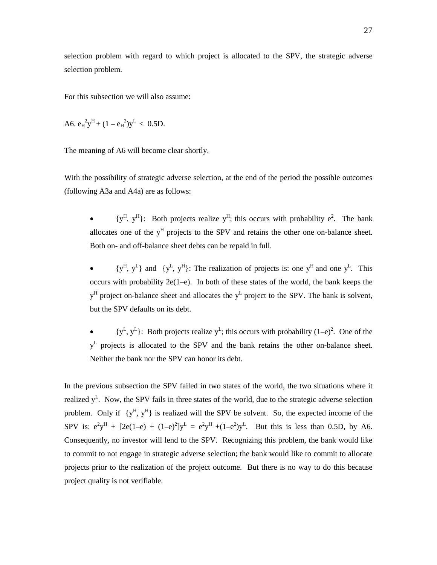selection problem with regard to which project is allocated to the SPV, the strategic adverse selection problem.

For this subsection we will also assume:

A6.  $e_H^2 y^H + (1 - e_H^2) y^L < 0.5D$ .

The meaning of A6 will become clear shortly.

With the possibility of strategic adverse selection, at the end of the period the possible outcomes (following A3a and A4a) are as follows:

•  $\{y^H, y^H\}$ : Both projects realize  $y^H$ ; this occurs with probability  $e^2$ . The bank allocates one of the  $y<sup>H</sup>$  projects to the SPV and retains the other one on-balance sheet. Both on- and off-balance sheet debts can be repaid in full.

•  $\{y^H, y^L\}$  and  $\{y^L, y^H\}$ : The realization of projects is: one  $y^H$  and one  $y^L$ . This occurs with probability  $2e(1-e)$ . In both of these states of the world, the bank keeps the  $y<sup>H</sup>$  project on-balance sheet and allocates the  $y<sup>L</sup>$  project to the SPV. The bank is solvent, but the SPV defaults on its debt.

•  ${y<sup>L</sup>, y<sup>L</sup>}$ : Both projects realize  $y<sup>L</sup>$ ; this occurs with probability  $(1-e)^2$ . One of the y<sup>L</sup> projects is allocated to the SPV and the bank retains the other on-balance sheet. Neither the bank nor the SPV can honor its debt.

In the previous subsection the SPV failed in two states of the world, the two situations where it realized y<sup>L</sup>. Now, the SPV fails in three states of the world, due to the strategic adverse selection problem. Only if  $\{y^H, y^H\}$  is realized will the SPV be solvent. So, the expected income of the SPV is:  $e^2y^H + [2e(1-e) + (1-e)^2]y^L = e^2y^H + (1-e^2)y^L$ . But this is less than 0.5D, by A6. Consequently, no investor will lend to the SPV. Recognizing this problem, the bank would like to commit to not engage in strategic adverse selection; the bank would like to commit to allocate projects prior to the realization of the project outcome. But there is no way to do this because project quality is not verifiable.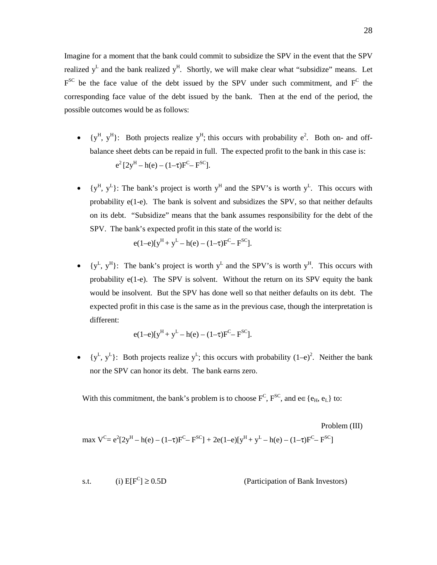Imagine for a moment that the bank could commit to subsidize the SPV in the event that the SPV realized  $y<sup>L</sup>$  and the bank realized  $y<sup>H</sup>$ . Shortly, we will make clear what "subsidize" means. Let  $F^{SC}$  be the face value of the debt issued by the SPV under such commitment, and  $F^C$  the corresponding face value of the debt issued by the bank. Then at the end of the period, the possible outcomes would be as follows:

- $\{y^H, y^H\}$ : Both projects realize  $y^H$ ; this occurs with probability  $e^2$ . Both on- and offbalance sheet debts can be repaid in full. The expected profit to the bank in this case is:  $e^{2} [2y^{H} - h(e) - (1-\tau)F^{C} - F^{SC}].$
- $\{y^H, y^L\}$ : The bank's project is worth  $y^H$  and the SPV's is worth  $y^L$ . This occurs with probability e(1-e). The bank is solvent and subsidizes the SPV, so that neither defaults on its debt. "Subsidize" means that the bank assumes responsibility for the debt of the SPV. The bank's expected profit in this state of the world is:

$$
e(1-e)[y^H + y^L - h(e) - (1-\tau)F^C - F^{SC}].
$$

•  $\{y^L, y^H\}$ : The bank's project is worth  $y^L$  and the SPV's is worth  $y^H$ . This occurs with probability e(1-e). The SPV is solvent. Without the return on its SPV equity the bank would be insolvent. But the SPV has done well so that neither defaults on its debt. The expected profit in this case is the same as in the previous case, though the interpretation is different:

$$
e(1-e)[y^H + y^L - h(e) - (1-\tau)F^C - F^{SC}].
$$

•  $\{y^L, y^L\}$ : Both projects realize  $y^L$ ; this occurs with probability  $(1-e)^2$ . Neither the bank nor the SPV can honor its debt. The bank earns zero.

With this commitment, the bank's problem is to choose  $F^C$ ,  $F^{SC}$ , and  $e \in \{e_H, e_L\}$  to:

Problem (III)  
max 
$$
V^C = e^2[2y^H - h(e) - (1-\tau)F^C - F^{SC}] + 2e(1-e)[y^H + y^L - h(e) - (1-\tau)F^C - F^{SC}]
$$

s.t. (i) 
$$
E[F^C] \ge 0.5D
$$
 (Participation of Bank INvestors)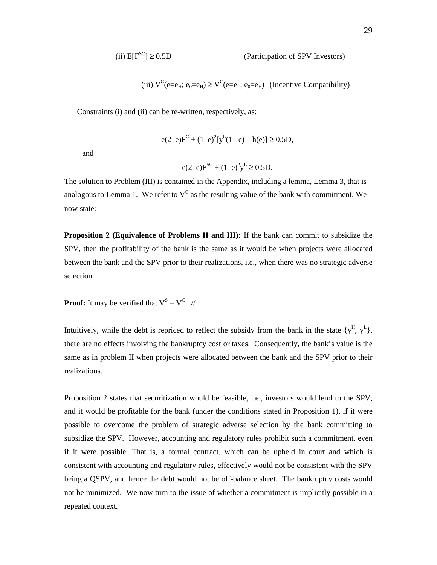(ii) 
$$
E[F^{SC}] \ge 0.5D
$$

(Participation of SPV Investors)

(iii) 
$$
V^C(e=e_H; e_0=e_H) \ge V^C(e=e_L; e_0=e_H)
$$
 (Incentive Computibility)

Constraints (i) and (ii) can be re-written, respectively, as:

$$
e(2-e)F^{C} + (1-e)^{2}[y^{L}(1-c) - h(e)] \ge 0.5D
$$
,

and

$$
e(2-e)F^{SC} + (1-e)^{2}y^{L} \ge 0.5D.
$$

The solution to Problem (III) is contained in the Appendix, including a lemma, Lemma 3, that is analogous to Lemma 1. We refer to  $V^C$  as the resulting value of the bank with commitment. We now state:

**Proposition 2 (Equivalence of Problems II and III):** If the bank can commit to subsidize the SPV, then the profitability of the bank is the same as it would be when projects were allocated between the bank and the SPV prior to their realizations, i.e., when there was no strategic adverse selection.

**Proof:** It may be verified that  $V^S = V^C$ . //

Intuitively, while the debt is repriced to reflect the subsidy from the bank in the state  $\{y^H, y^L\}$ , there are no effects involving the bankruptcy cost or taxes. Consequently, the bank's value is the same as in problem II when projects were allocated between the bank and the SPV prior to their realizations.

Proposition 2 states that securitization would be feasible, i.e., investors would lend to the SPV, and it would be profitable for the bank (under the conditions stated in Proposition 1), if it were possible to overcome the problem of strategic adverse selection by the bank committing to subsidize the SPV. However, accounting and regulatory rules prohibit such a commitment, even if it were possible. That is, a formal contract, which can be upheld in court and which is consistent with accounting and regulatory rules, effectively would not be consistent with the SPV being a QSPV, and hence the debt would not be off-balance sheet. The bankruptcy costs would not be minimized. We now turn to the issue of whether a commitment is implicitly possible in a repeated context.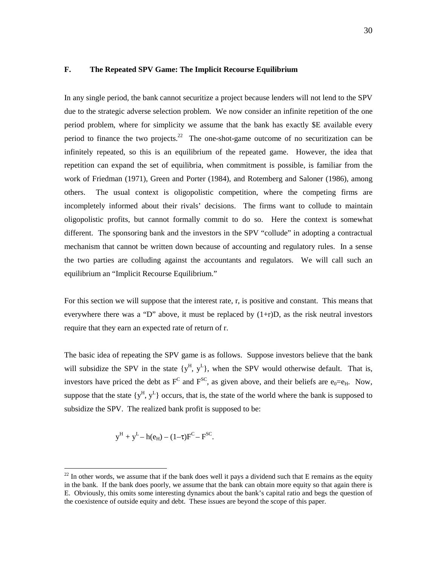# **F. The Repeated SPV Game: The Implicit Recourse Equilibrium**

In any single period, the bank cannot securitize a project because lenders will not lend to the SPV due to the strategic adverse selection problem. We now consider an infinite repetition of the one period problem, where for simplicity we assume that the bank has exactly \$E available every period to finance the two projects.<sup>22</sup> The one-shot-game outcome of no securitization can be infinitely repeated, so this is an equilibrium of the repeated game. However, the idea that repetition can expand the set of equilibria, when commitment is possible, is familiar from the work of Friedman (1971), Green and Porter (1984), and Rotemberg and Saloner (1986), among others. The usual context is oligopolistic competition, where the competing firms are incompletely informed about their rivals' decisions. The firms want to collude to maintain oligopolistic profits, but cannot formally commit to do so. Here the context is somewhat different. The sponsoring bank and the investors in the SPV "collude" in adopting a contractual mechanism that cannot be written down because of accounting and regulatory rules. In a sense the two parties are colluding against the accountants and regulators. We will call such an equilibrium an "Implicit Recourse Equilibrium."

For this section we will suppose that the interest rate, r, is positive and constant. This means that everywhere there was a "D" above, it must be replaced by  $(1+r)D$ , as the risk neutral investors require that they earn an expected rate of return of r.

The basic idea of repeating the SPV game is as follows. Suppose investors believe that the bank will subsidize the SPV in the state  $\{y^H, y^L\}$ , when the SPV would otherwise default. That is, investors have priced the debt as  $F^C$  and  $F^{SC}$ , as given above, and their beliefs are  $e_0 = e_H$ . Now, suppose that the state  $\{y^H, y^L\}$  occurs, that is, the state of the world where the bank is supposed to subsidize the SPV. The realized bank profit is supposed to be:

$$
y^H + y^L - h(e_H) - (1-\tau)F^C - F^{SC}.
$$

 $22$  In other words, we assume that if the bank does well it pays a dividend such that E remains as the equity in the bank. If the bank does poorly, we assume that the bank can obtain more equity so that again there is E. Obviously, this omits some interesting dynamics about the bank's capital ratio and begs the question of the coexistence of outside equity and debt. These issues are beyond the scope of this paper.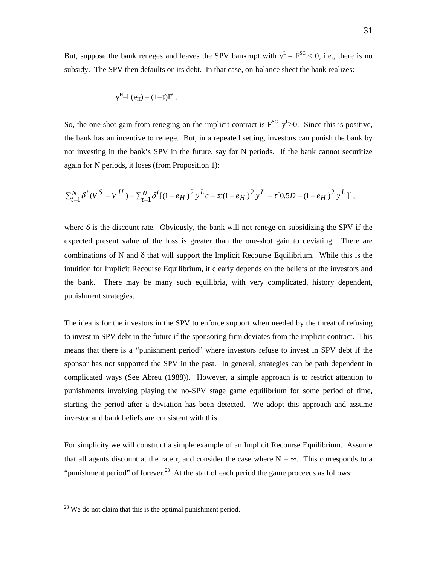But, suppose the bank reneges and leaves the SPV bankrupt with  $y^L - F^{SC} < 0$ , i.e., there is no subsidy. The SPV then defaults on its debt. In that case, on-balance sheet the bank realizes:

$$
y^H - h(e_H) - (1-\tau)F^C.
$$

So, the one-shot gain from reneging on the implicit contract is  $F^{SC} - y^L > 0$ . Since this is positive, the bank has an incentive to renege. But, in a repeated setting, investors can punish the bank by not investing in the bank's SPV in the future, say for N periods. If the bank cannot securitize again for N periods, it loses (from Proposition 1):

$$
\textstyle \sum_{t=1}^N \delta^t (V^S - V^H) = \sum_{t=1}^N \delta^t [(1-e_H)^2 y^L c - \alpha (1-e_H)^2 y^L - \tau [0.5D - (1-e_H)^2 y^L]],
$$

where  $\delta$  is the discount rate. Obviously, the bank will not renege on subsidizing the SPV if the expected present value of the loss is greater than the one-shot gain to deviating. There are combinations of N and  $\delta$  that will support the Implicit Recourse Equilibrium. While this is the intuition for Implicit Recourse Equilibrium, it clearly depends on the beliefs of the investors and the bank. There may be many such equilibria, with very complicated, history dependent, punishment strategies.

The idea is for the investors in the SPV to enforce support when needed by the threat of refusing to invest in SPV debt in the future if the sponsoring firm deviates from the implicit contract. This means that there is a "punishment period" where investors refuse to invest in SPV debt if the sponsor has not supported the SPV in the past. In general, strategies can be path dependent in complicated ways (See Abreu (1988)). However, a simple approach is to restrict attention to punishments involving playing the no-SPV stage game equilibrium for some period of time, starting the period after a deviation has been detected. We adopt this approach and assume investor and bank beliefs are consistent with this.

For simplicity we will construct a simple example of an Implicit Recourse Equilibrium. Assume that all agents discount at the rate r, and consider the case where  $N = \infty$ . This corresponds to a "punishment period" of forever.<sup>23</sup> At the start of each period the game proceeds as follows:

 $23$  We do not claim that this is the optimal punishment period.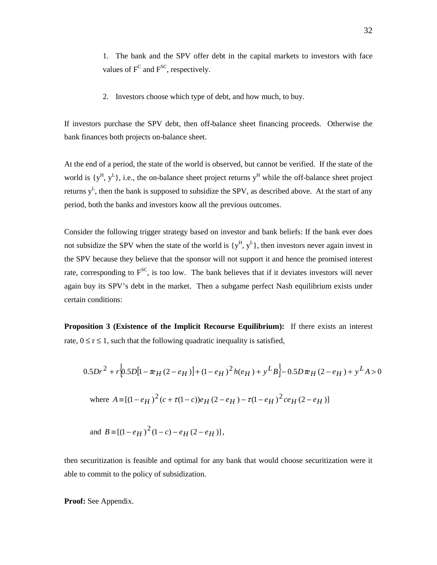1. The bank and the SPV offer debt in the capital markets to investors with face values of  $F^C$  and  $F^{SC}$ , respectively.

2. Investors choose which type of debt, and how much, to buy.

If investors purchase the SPV debt, then off-balance sheet financing proceeds. Otherwise the bank finances both projects on-balance sheet.

At the end of a period, the state of the world is observed, but cannot be verified. If the state of the world is  $\{y^H, y^L\}$ , i.e., the on-balance sheet project returns  $y^H$  while the off-balance sheet project returns  $y^L$ , then the bank is supposed to subsidize the SPV, as described above. At the start of any period, both the banks and investors know all the previous outcomes.

Consider the following trigger strategy based on investor and bank beliefs: If the bank ever does not subsidize the SPV when the state of the world is  $\{y^H, y^L\}$ , then investors never again invest in the SPV because they believe that the sponsor will not support it and hence the promised interest rate, corresponding to  $F^{SC}$ , is too low. The bank believes that if it deviates investors will never again buy its SPV's debt in the market. Then a subgame perfect Nash equilibrium exists under certain conditions:

**Proposition 3 (Existence of the Implicit Recourse Equilibrium):** If there exists an interest rate,  $0 \le r \le 1$ , such that the following quadratic inequality is satisfied,

$$
0.5Dr^{2} + r \left[ 0.5D[1 - \pi_{H}(2 - e_{H})] + (1 - e_{H})^{2} h(e_{H}) + y^{L} B \right] - 0.5D \pi_{H}(2 - e_{H}) + y^{L} A > 0
$$
  
where 
$$
A \equiv [(1 - e_{H})^{2} (c + \tau(1 - c))e_{H}(2 - e_{H}) - \tau(1 - e_{H})^{2} c e_{H}(2 - e_{H})]
$$

and 
$$
B \equiv [(1 - e_H)^2 (1 - c) - e_H (2 - e_H)],
$$

then securitization is feasible and optimal for any bank that would choose securitization were it able to commit to the policy of subsidization.

**Proof:** See Appendix.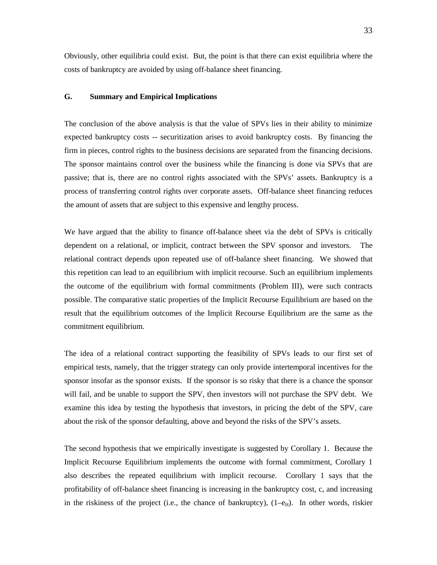Obviously, other equilibria could exist. But, the point is that there can exist equilibria where the costs of bankruptcy are avoided by using off-balance sheet financing.

# **G. Summary and Empirical Implications**

The conclusion of the above analysis is that the value of SPVs lies in their ability to minimize expected bankruptcy costs -- securitization arises to avoid bankruptcy costs. By financing the firm in pieces, control rights to the business decisions are separated from the financing decisions. The sponsor maintains control over the business while the financing is done via SPVs that are passive; that is, there are no control rights associated with the SPVs' assets. Bankruptcy is a process of transferring control rights over corporate assets. Off-balance sheet financing reduces the amount of assets that are subject to this expensive and lengthy process.

We have argued that the ability to finance off-balance sheet via the debt of SPVs is critically dependent on a relational, or implicit, contract between the SPV sponsor and investors. The relational contract depends upon repeated use of off-balance sheet financing. We showed that this repetition can lead to an equilibrium with implicit recourse. Such an equilibrium implements the outcome of the equilibrium with formal commitments (Problem III), were such contracts possible. The comparative static properties of the Implicit Recourse Equilibrium are based on the result that the equilibrium outcomes of the Implicit Recourse Equilibrium are the same as the commitment equilibrium.

The idea of a relational contract supporting the feasibility of SPVs leads to our first set of empirical tests, namely, that the trigger strategy can only provide intertemporal incentives for the sponsor insofar as the sponsor exists. If the sponsor is so risky that there is a chance the sponsor will fail, and be unable to support the SPV, then investors will not purchase the SPV debt. We examine this idea by testing the hypothesis that investors, in pricing the debt of the SPV, care about the risk of the sponsor defaulting, above and beyond the risks of the SPV's assets.

The second hypothesis that we empirically investigate is suggested by Corollary 1. Because the Implicit Recourse Equilibrium implements the outcome with formal commitment, Corollary 1 also describes the repeated equilibrium with implicit recourse. Corollary 1 says that the profitability of off-balance sheet financing is increasing in the bankruptcy cost, c, and increasing in the riskiness of the project (i.e., the chance of bankruptcy),  $(1-e_H)$ . In other words, riskier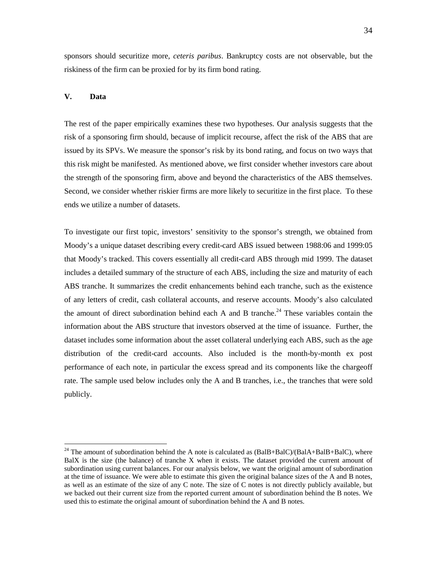sponsors should securitize more, *ceteris paribus*. Bankruptcy costs are not observable, but the riskiness of the firm can be proxied for by its firm bond rating.

# **V. Data**

 $\overline{a}$ 

The rest of the paper empirically examines these two hypotheses. Our analysis suggests that the risk of a sponsoring firm should, because of implicit recourse, affect the risk of the ABS that are issued by its SPVs. We measure the sponsor's risk by its bond rating, and focus on two ways that this risk might be manifested. As mentioned above, we first consider whether investors care about the strength of the sponsoring firm, above and beyond the characteristics of the ABS themselves. Second, we consider whether riskier firms are more likely to securitize in the first place. To these ends we utilize a number of datasets.

To investigate our first topic, investors' sensitivity to the sponsor's strength, we obtained from Moody's a unique dataset describing every credit-card ABS issued between 1988:06 and 1999:05 that Moody's tracked. This covers essentially all credit-card ABS through mid 1999. The dataset includes a detailed summary of the structure of each ABS, including the size and maturity of each ABS tranche. It summarizes the credit enhancements behind each tranche, such as the existence of any letters of credit, cash collateral accounts, and reserve accounts. Moody's also calculated the amount of direct subordination behind each A and B tranche.<sup>24</sup> These variables contain the information about the ABS structure that investors observed at the time of issuance. Further, the dataset includes some information about the asset collateral underlying each ABS, such as the age distribution of the credit-card accounts. Also included is the month-by-month ex post performance of each note, in particular the excess spread and its components like the chargeoff rate. The sample used below includes only the A and B tranches, i.e., the tranches that were sold publicly.

<sup>&</sup>lt;sup>24</sup> The amount of subordination behind the A note is calculated as  $(BaIB + BaIC)/(BaIA + BaIB + BaIC)$ , where BalX is the size (the balance) of tranche X when it exists. The dataset provided the current amount of subordination using current balances. For our analysis below, we want the original amount of subordination at the time of issuance. We were able to estimate this given the original balance sizes of the A and B notes, as well as an estimate of the size of any C note. The size of C notes is not directly publicly available, but we backed out their current size from the reported current amount of subordination behind the B notes. We used this to estimate the original amount of subordination behind the A and B notes.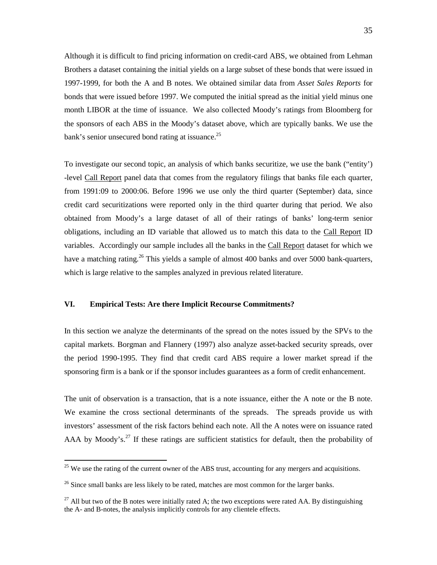Although it is difficult to find pricing information on credit-card ABS, we obtained from Lehman Brothers a dataset containing the initial yields on a large subset of these bonds that were issued in 1997-1999, for both the A and B notes. We obtained similar data from *Asset Sales Reports* for bonds that were issued before 1997. We computed the initial spread as the initial yield minus one month LIBOR at the time of issuance. We also collected Moody's ratings from Bloomberg for the sponsors of each ABS in the Moody's dataset above, which are typically banks. We use the bank's senior unsecured bond rating at issuance.<sup>25</sup>

To investigate our second topic, an analysis of which banks securitize, we use the bank ("entity') -level Call Report panel data that comes from the regulatory filings that banks file each quarter, from 1991:09 to 2000:06. Before 1996 we use only the third quarter (September) data, since credit card securitizations were reported only in the third quarter during that period. We also obtained from Moody's a large dataset of all of their ratings of banks' long-term senior obligations, including an ID variable that allowed us to match this data to the Call Report ID variables. Accordingly our sample includes all the banks in the Call Report dataset for which we have a matching rating.<sup>26</sup> This yields a sample of almost 400 banks and over 5000 bank-quarters, which is large relative to the samples analyzed in previous related literature.

# **VI. Empirical Tests: Are there Implicit Recourse Commitments?**

In this section we analyze the determinants of the spread on the notes issued by the SPVs to the capital markets. Borgman and Flannery (1997) also analyze asset-backed security spreads, over the period 1990-1995. They find that credit card ABS require a lower market spread if the sponsoring firm is a bank or if the sponsor includes guarantees as a form of credit enhancement.

The unit of observation is a transaction, that is a note issuance, either the A note or the B note. We examine the cross sectional determinants of the spreads. The spreads provide us with investors' assessment of the risk factors behind each note. All the A notes were on issuance rated AAA by Moody's.<sup>27</sup> If these ratings are sufficient statistics for default, then the probability of

 $25$  We use the rating of the current owner of the ABS trust, accounting for any mergers and acquisitions.

 $^{26}$  Since small banks are less likely to be rated, matches are most common for the larger banks.

<sup>&</sup>lt;sup>27</sup> All but two of the B notes were initially rated A; the two exceptions were rated AA. By distinguishing the A- and B-notes, the analysis implicitly controls for any clientele effects.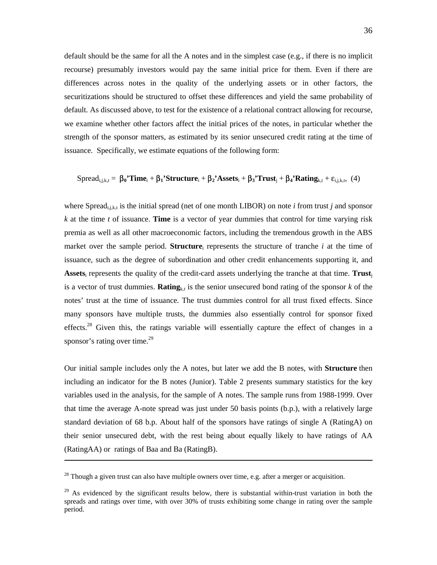default should be the same for all the A notes and in the simplest case (e.g., if there is no implicit recourse) presumably investors would pay the same initial price for them. Even if there are differences across notes in the quality of the underlying assets or in other factors, the securitizations should be structured to offset these differences and yield the same probability of default. As discussed above, to test for the existence of a relational contract allowing for recourse, we examine whether other factors affect the initial prices of the notes, in particular whether the strength of the sponsor matters, as estimated by its senior unsecured credit rating at the time of issuance. Specifically, we estimate equations of the following form:

$$
Speed_{i,j,k,t} = \beta_0' Time_t + \beta_1' Structure_i + \beta_2' Assets_i + \beta_3' Trust_j + \beta_4'Rating_{k,t} + \epsilon_{i,j,k,t}, (4)
$$

where Spread<sub>i,ikt</sub> is the initial spread (net of one month LIBOR) on note  $i$  from trust  $j$  and sponsor *k* at the time *t* of issuance. **Time** is a vector of year dummies that control for time varying risk premia as well as all other macroeconomic factors, including the tremendous growth in the ABS market over the sample period. **Structure**<sub>i</sub> represents the structure of tranche  $i$  at the time of issuance, such as the degree of subordination and other credit enhancements supporting it, and **Assets**i represents the quality of the credit-card assets underlying the tranche at that time. **Trust**<sup>j</sup> is a vector of trust dummies. **Rating**<sub>kt</sub> is the senior unsecured bond rating of the sponsor *k* of the notes' trust at the time of issuance. The trust dummies control for all trust fixed effects. Since many sponsors have multiple trusts, the dummies also essentially control for sponsor fixed effects.<sup>28</sup> Given this, the ratings variable will essentially capture the effect of changes in a sponsor's rating over time. $^{29}$ 

Our initial sample includes only the A notes, but later we add the B notes, with **Structure** then including an indicator for the B notes (Junior). Table 2 presents summary statistics for the key variables used in the analysis, for the sample of A notes. The sample runs from 1988-1999. Over that time the average A-note spread was just under 50 basis points (b.p.), with a relatively large standard deviation of 68 b.p. About half of the sponsors have ratings of single A (RatingA) on their senior unsecured debt, with the rest being about equally likely to have ratings of AA (RatingAA) or ratings of Baa and Ba (RatingB).

<sup>&</sup>lt;sup>28</sup> Though a given trust can also have multiple owners over time, e.g. after a merger or acquisition.

 $29$  As evidenced by the significant results below, there is substantial within-trust variation in both the spreads and ratings over time, with over 30% of trusts exhibiting some change in rating over the sample period.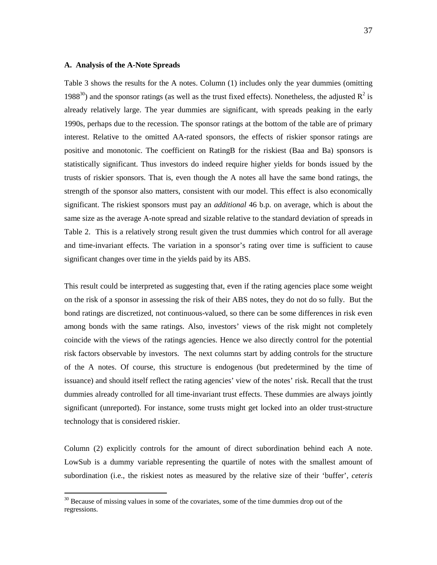## **A. Analysis of the A-Note Spreads**

Table 3 shows the results for the A notes. Column (1) includes only the year dummies (omitting 1988<sup>30</sup>) and the sponsor ratings (as well as the trust fixed effects). Nonetheless, the adjusted  $R^2$  is already relatively large. The year dummies are significant, with spreads peaking in the early 1990s, perhaps due to the recession. The sponsor ratings at the bottom of the table are of primary interest. Relative to the omitted AA-rated sponsors, the effects of riskier sponsor ratings are positive and monotonic. The coefficient on RatingB for the riskiest (Baa and Ba) sponsors is statistically significant. Thus investors do indeed require higher yields for bonds issued by the trusts of riskier sponsors. That is, even though the A notes all have the same bond ratings, the strength of the sponsor also matters, consistent with our model. This effect is also economically significant. The riskiest sponsors must pay an *additional* 46 b.p. on average, which is about the same size as the average A-note spread and sizable relative to the standard deviation of spreads in Table 2. This is a relatively strong result given the trust dummies which control for all average and time-invariant effects. The variation in a sponsor's rating over time is sufficient to cause significant changes over time in the yields paid by its ABS.

This result could be interpreted as suggesting that, even if the rating agencies place some weight on the risk of a sponsor in assessing the risk of their ABS notes, they do not do so fully. But the bond ratings are discretized, not continuous-valued, so there can be some differences in risk even among bonds with the same ratings. Also, investors' views of the risk might not completely coincide with the views of the ratings agencies. Hence we also directly control for the potential risk factors observable by investors. The next columns start by adding controls for the structure of the A notes. Of course, this structure is endogenous (but predetermined by the time of issuance) and should itself reflect the rating agencies' view of the notes' risk. Recall that the trust dummies already controlled for all time-invariant trust effects. These dummies are always jointly significant (unreported). For instance, some trusts might get locked into an older trust-structure technology that is considered riskier.

Column (2) explicitly controls for the amount of direct subordination behind each A note. LowSub is a dummy variable representing the quartile of notes with the smallest amount of subordination (i.e., the riskiest notes as measured by the relative size of their 'buffer', *ceteris* 

 $30$  Because of missing values in some of the covariates, some of the time dummies drop out of the regressions.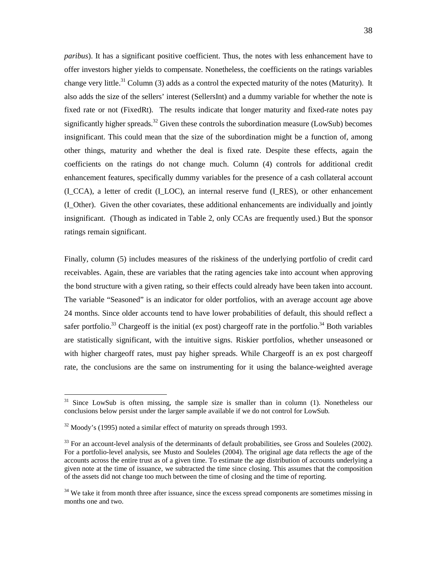*paribus*). It has a significant positive coefficient. Thus, the notes with less enhancement have to offer investors higher yields to compensate. Nonetheless, the coefficients on the ratings variables change very little.<sup>31</sup> Column (3) adds as a control the expected maturity of the notes (Maturity). It also adds the size of the sellers' interest (SellersInt) and a dummy variable for whether the note is fixed rate or not (FixedRt). The results indicate that longer maturity and fixed-rate notes pay significantly higher spreads.<sup>32</sup> Given these controls the subordination measure (LowSub) becomes insignificant. This could mean that the size of the subordination might be a function of, among other things, maturity and whether the deal is fixed rate. Despite these effects, again the coefficients on the ratings do not change much. Column (4) controls for additional credit enhancement features, specifically dummy variables for the presence of a cash collateral account  $(ILCCA)$ , a letter of credit  $(ILOC)$ , an internal reserve fund  $(IRES)$ , or other enhancement (I\_Other). Given the other covariates, these additional enhancements are individually and jointly insignificant. (Though as indicated in Table 2, only CCAs are frequently used.) But the sponsor ratings remain significant.

Finally, column (5) includes measures of the riskiness of the underlying portfolio of credit card receivables. Again, these are variables that the rating agencies take into account when approving the bond structure with a given rating, so their effects could already have been taken into account. The variable "Seasoned" is an indicator for older portfolios, with an average account age above 24 months. Since older accounts tend to have lower probabilities of default, this should reflect a safer portfolio.<sup>33</sup> Chargeoff is the initial (ex post) chargeoff rate in the portfolio.<sup>34</sup> Both variables are statistically significant, with the intuitive signs. Riskier portfolios, whether unseasoned or with higher chargeoff rates, must pay higher spreads. While Chargeoff is an ex post chargeoff rate, the conclusions are the same on instrumenting for it using the balance-weighted average

 $31$  Since LowSub is often missing, the sample size is smaller than in column (1). Nonetheless our conclusions below persist under the larger sample available if we do not control for LowSub*.* 

 $32$  Moody's (1995) noted a similar effect of maturity on spreads through 1993.

 $33$  For an account-level analysis of the determinants of default probabilities, see Gross and Souleles (2002). For a portfolio-level analysis, see Musto and Souleles (2004). The original age data reflects the age of the accounts across the entire trust as of a given time. To estimate the age distribution of accounts underlying a given note at the time of issuance, we subtracted the time since closing. This assumes that the composition of the assets did not change too much between the time of closing and the time of reporting.

 $34$  We take it from month three after issuance, since the excess spread components are sometimes missing in months one and two.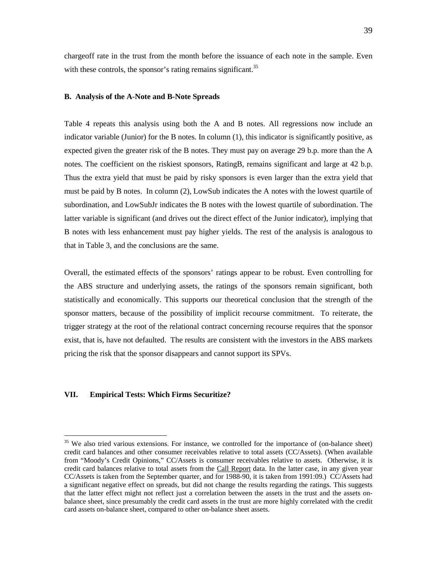chargeoff rate in the trust from the month before the issuance of each note in the sample. Even with these controls, the sponsor's rating remains significant.<sup>35</sup>

# **B. Analysis of the A-Note and B-Note Spreads**

Table 4 repeats this analysis using both the A and B notes. All regressions now include an indicator variable (Junior) for the B notes. In column (1), this indicator is significantly positive, as expected given the greater risk of the B notes. They must pay on average 29 b.p. more than the A notes. The coefficient on the riskiest sponsors, RatingB, remains significant and large at 42 b.p. Thus the extra yield that must be paid by risky sponsors is even larger than the extra yield that must be paid by B notes. In column (2), LowSub indicates the A notes with the lowest quartile of subordination, and LowSubJr indicates the B notes with the lowest quartile of subordination. The latter variable is significant (and drives out the direct effect of the Junior indicator), implying that B notes with less enhancement must pay higher yields. The rest of the analysis is analogous to that in Table 3, and the conclusions are the same.

Overall, the estimated effects of the sponsors' ratings appear to be robust. Even controlling for the ABS structure and underlying assets, the ratings of the sponsors remain significant, both statistically and economically. This supports our theoretical conclusion that the strength of the sponsor matters, because of the possibility of implicit recourse commitment. To reiterate, the trigger strategy at the root of the relational contract concerning recourse requires that the sponsor exist, that is, have not defaulted. The results are consistent with the investors in the ABS markets pricing the risk that the sponsor disappears and cannot support its SPVs.

# **VII. Empirical Tests: Which Firms Securitize?**

<sup>&</sup>lt;sup>35</sup> We also tried various extensions. For instance, we controlled for the importance of (on-balance sheet) credit card balances and other consumer receivables relative to total assets (CC/Assets). (When available from "Moody's Credit Opinions," CC/Assets is consumer receivables relative to assets. Otherwise, it is credit card balances relative to total assets from the Call Report data. In the latter case, in any given year CC/Assets is taken from the September quarter, and for 1988-90, it is taken from 1991:09.) CC/Assets had a significant negative effect on spreads, but did not change the results regarding the ratings. This suggests that the latter effect might not reflect just a correlation between the assets in the trust and the assets onbalance sheet, since presumably the credit card assets in the trust are more highly correlated with the credit card assets on-balance sheet, compared to other on-balance sheet assets.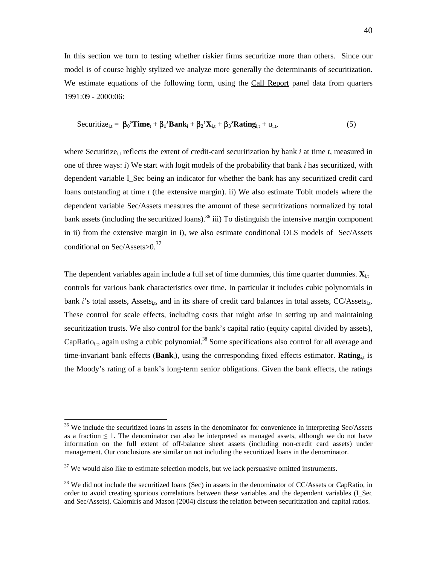In this section we turn to testing whether riskier firms securitize more than others. Since our model is of course highly stylized we analyze more generally the determinants of securitization. We estimate equations of the following form, using the Call Report panel data from quarters 1991:09 - 2000:06:

Securitize<sub>i,t</sub> = 
$$
\beta_0
$$
**'Time**<sub>t</sub> +  $\beta_1$ **'Bank**<sub>i</sub> +  $\beta_2$ **'X**<sub>i,t</sub> +  $\beta_3$ **'Rating**<sub>i,t</sub> + u<sub>i,t</sub>, (5)

where Securitize<sub>i,t</sub> reflects the extent of credit-card securitization by bank *i* at time *t*, measured in one of three ways: i) We start with logit models of the probability that bank *i* has securitized, with dependent variable I\_Sec being an indicator for whether the bank has any securitized credit card loans outstanding at time *t* (the extensive margin). ii) We also estimate Tobit models where the dependent variable Sec/Assets measures the amount of these securitizations normalized by total bank assets (including the securitized loans).<sup>36</sup> iii) To distinguish the intensive margin component in ii) from the extensive margin in i), we also estimate conditional OLS models of Sec/Assets conditional on Sec/Assets $>0.37$ 

The dependent variables again include a full set of time dummies, this time quarter dummies.  $\mathbf{X}_{i,t}$ controls for various bank characteristics over time. In particular it includes cubic polynomials in bank *i*'s total assets, Assets<sub>i,t</sub>, and in its share of credit card balances in total assets, CC/Assets<sub>i,t</sub>. These control for scale effects, including costs that might arise in setting up and maintaining securitization trusts. We also control for the bank's capital ratio (equity capital divided by assets), CapRatio<sub>i</sub>, again using a cubic polynomial.<sup>38</sup> Some specifications also control for all average and time-invariant bank effects (**Bank**<sub>i</sub>), using the corresponding fixed effects estimator. **Rating**<sub>it</sub> is the Moody's rating of a bank's long-term senior obligations. Given the bank effects, the ratings

<sup>&</sup>lt;sup>36</sup> We include the securitized loans in assets in the denominator for convenience in interpreting Sec/Assets as a fraction  $\leq 1$ . The denominator can also be interpreted as managed assets, although we do not have information on the full extent of off-balance sheet assets (including non-credit card assets) under management. Our conclusions are similar on not including the securitized loans in the denominator.

 $37$  We would also like to estimate selection models, but we lack persuasive omitted instruments.

 $38$  We did not include the securitized loans (Sec) in assets in the denominator of CC/Assets or CapRatio, in order to avoid creating spurious correlations between these variables and the dependent variables (I\_Sec and Sec/Assets). Calomiris and Mason (2004) discuss the relation between securitization and capital ratios.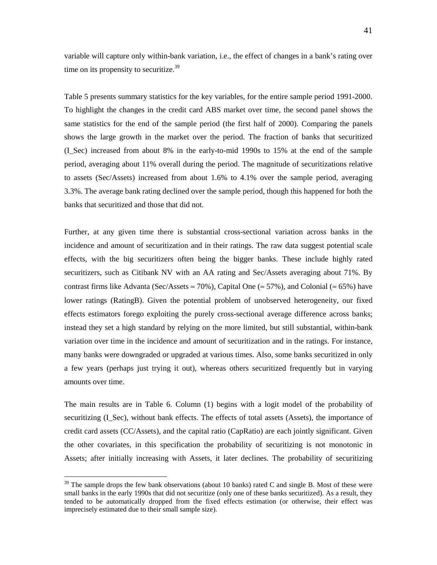variable will capture only within-bank variation, i.e., the effect of changes in a bank's rating over time on its propensity to securitize.<sup>39</sup>

Table 5 presents summary statistics for the key variables, for the entire sample period 1991-2000. To highlight the changes in the credit card ABS market over time, the second panel shows the same statistics for the end of the sample period (the first half of 2000). Comparing the panels shows the large growth in the market over the period. The fraction of banks that securitized (I\_Sec) increased from about 8% in the early-to-mid 1990s to 15% at the end of the sample period, averaging about 11% overall during the period. The magnitude of securitizations relative to assets (Sec/Assets) increased from about 1.6% to 4.1% over the sample period, averaging 3.3%. The average bank rating declined over the sample period, though this happened for both the banks that securitized and those that did not.

Further, at any given time there is substantial cross-sectional variation across banks in the incidence and amount of securitization and in their ratings. The raw data suggest potential scale effects, with the big securitizers often being the bigger banks. These include highly rated securitizers, such as Citibank NV with an AA rating and Sec/Assets averaging about 71%. By contrast firms like Advanta (Sec/Assets  $\approx$  70%), Capital One ( $\approx$  57%), and Colonial ( $\approx$  65%) have lower ratings (RatingB). Given the potential problem of unobserved heterogeneity, our fixed effects estimators forego exploiting the purely cross-sectional average difference across banks; instead they set a high standard by relying on the more limited, but still substantial, within-bank variation over time in the incidence and amount of securitization and in the ratings. For instance, many banks were downgraded or upgraded at various times. Also, some banks securitized in only a few years (perhaps just trying it out), whereas others securitized frequently but in varying amounts over time.

The main results are in Table 6. Column (1) begins with a logit model of the probability of securitizing (I\_Sec), without bank effects. The effects of total assets (Assets), the importance of credit card assets (CC/Assets), and the capital ratio (CapRatio) are each jointly significant. Given the other covariates, in this specification the probability of securitizing is not monotonic in Assets; after initially increasing with Assets, it later declines. The probability of securitizing

 $39$  The sample drops the few bank observations (about 10 banks) rated C and single B. Most of these were small banks in the early 1990s that did not securitize (only one of these banks securitized). As a result, they tended to be automatically dropped from the fixed effects estimation (or otherwise, their effect was imprecisely estimated due to their small sample size).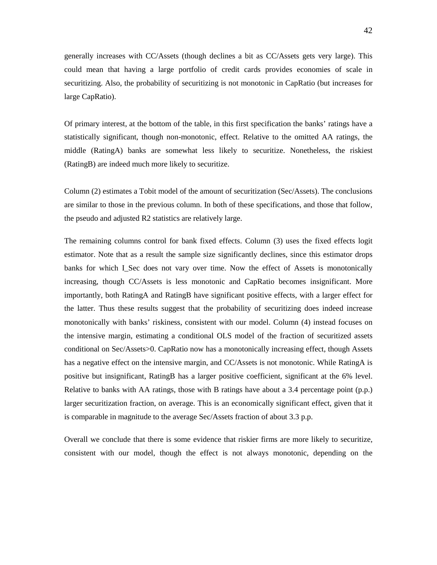generally increases with CC/Assets (though declines a bit as CC/Assets gets very large). This could mean that having a large portfolio of credit cards provides economies of scale in securitizing. Also, the probability of securitizing is not monotonic in CapRatio (but increases for large CapRatio).

Of primary interest, at the bottom of the table, in this first specification the banks' ratings have a statistically significant, though non-monotonic, effect. Relative to the omitted AA ratings, the middle (RatingA) banks are somewhat less likely to securitize. Nonetheless, the riskiest (RatingB) are indeed much more likely to securitize.

Column (2) estimates a Tobit model of the amount of securitization (Sec/Assets). The conclusions are similar to those in the previous column. In both of these specifications, and those that follow, the pseudo and adjusted R2 statistics are relatively large.

The remaining columns control for bank fixed effects. Column (3) uses the fixed effects logit estimator. Note that as a result the sample size significantly declines, since this estimator drops banks for which I\_Sec does not vary over time. Now the effect of Assets is monotonically increasing, though CC/Assets is less monotonic and CapRatio becomes insignificant. More importantly, both RatingA and RatingB have significant positive effects, with a larger effect for the latter. Thus these results suggest that the probability of securitizing does indeed increase monotonically with banks' riskiness, consistent with our model. Column (4) instead focuses on the intensive margin, estimating a conditional OLS model of the fraction of securitized assets conditional on Sec/Assets>0. CapRatio now has a monotonically increasing effect, though Assets has a negative effect on the intensive margin, and CC/Assets is not monotonic. While RatingA is positive but insignificant, RatingB has a larger positive coefficient, significant at the 6% level. Relative to banks with AA ratings, those with B ratings have about a 3.4 percentage point (p.p.) larger securitization fraction, on average. This is an economically significant effect, given that it is comparable in magnitude to the average Sec/Assets fraction of about 3.3 p.p.

Overall we conclude that there is some evidence that riskier firms are more likely to securitize, consistent with our model, though the effect is not always monotonic, depending on the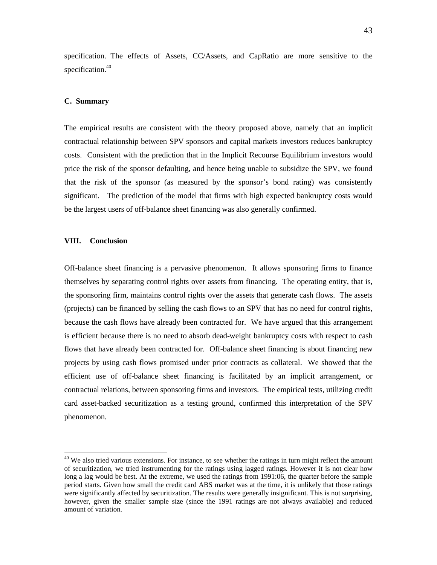specification. The effects of Assets, CC/Assets, and CapRatio are more sensitive to the specification.<sup>40</sup>

# **C. Summary**

The empirical results are consistent with the theory proposed above, namely that an implicit contractual relationship between SPV sponsors and capital markets investors reduces bankruptcy costs. Consistent with the prediction that in the Implicit Recourse Equilibrium investors would price the risk of the sponsor defaulting, and hence being unable to subsidize the SPV, we found that the risk of the sponsor (as measured by the sponsor's bond rating) was consistently significant. The prediction of the model that firms with high expected bankruptcy costs would be the largest users of off-balance sheet financing was also generally confirmed.

#### **VIII. Conclusion**

 $\overline{a}$ 

Off-balance sheet financing is a pervasive phenomenon. It allows sponsoring firms to finance themselves by separating control rights over assets from financing. The operating entity, that is, the sponsoring firm, maintains control rights over the assets that generate cash flows. The assets (projects) can be financed by selling the cash flows to an SPV that has no need for control rights, because the cash flows have already been contracted for. We have argued that this arrangement is efficient because there is no need to absorb dead-weight bankruptcy costs with respect to cash flows that have already been contracted for. Off-balance sheet financing is about financing new projects by using cash flows promised under prior contracts as collateral. We showed that the efficient use of off-balance sheet financing is facilitated by an implicit arrangement, or contractual relations, between sponsoring firms and investors. The empirical tests, utilizing credit card asset-backed securitization as a testing ground, confirmed this interpretation of the SPV phenomenon.

<sup>&</sup>lt;sup>40</sup> We also tried various extensions. For instance, to see whether the ratings in turn might reflect the amount of securitization, we tried instrumenting for the ratings using lagged ratings. However it is not clear how long a lag would be best. At the extreme, we used the ratings from 1991:06, the quarter before the sample period starts. Given how small the credit card ABS market was at the time, it is unlikely that those ratings were significantly affected by securitization. The results were generally insignificant. This is not surprising, however, given the smaller sample size (since the 1991 ratings are not always available) and reduced amount of variation.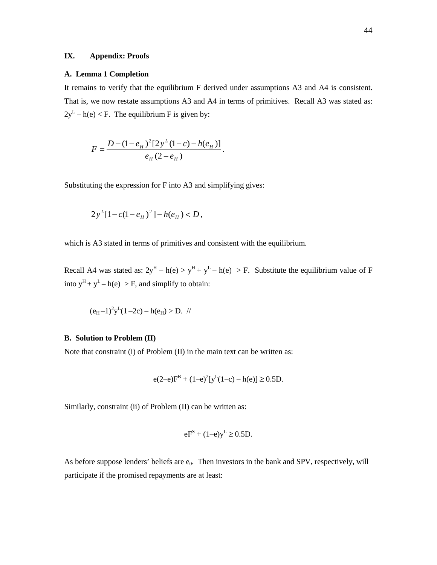# **IX. Appendix: Proofs**

#### **A. Lemma 1 Completion**

It remains to verify that the equilibrium F derived under assumptions A3 and A4 is consistent. That is, we now restate assumptions A3 and A4 in terms of primitives. Recall A3 was stated as:  $2y^L - h(e) < F$ . The equilibrium F is given by:

$$
F = \frac{D - (1 - e_H)^2 [2y^L(1 - c) - h(e_H)]}{e_H(2 - e_H)}.
$$

Substituting the expression for F into A3 and simplifying gives:

$$
2y^{L}[1-c(1-e_{H})^{2}]-h(e_{H})
$$

which is A3 stated in terms of primitives and consistent with the equilibrium.

Recall A4 was stated as:  $2y^H - h(e) > y^H + y^L - h(e) > F$ . Substitute the equilibrium value of F into  $y^H + y^L - h(e) > F$ , and simplify to obtain:

$$
(e_{H}-1)^{2}y^{L}(1-2c)-h(e_{H})>D. \hspace{2mm} \text{in}
$$

# **B. Solution to Problem (II)**

Note that constraint (i) of Problem (II) in the main text can be written as:

$$
e(2-e)F^{B} + (1-e)^{2}[y^{L}(1-c) - h(e)] \ge 0.5D.
$$

Similarly, constraint (ii) of Problem (II) can be written as:

$$
eF^{S} + (1-e)y^{L} \ge 0.5D.
$$

As before suppose lenders' beliefs are  $e_0$ . Then investors in the bank and SPV, respectively, will participate if the promised repayments are at least: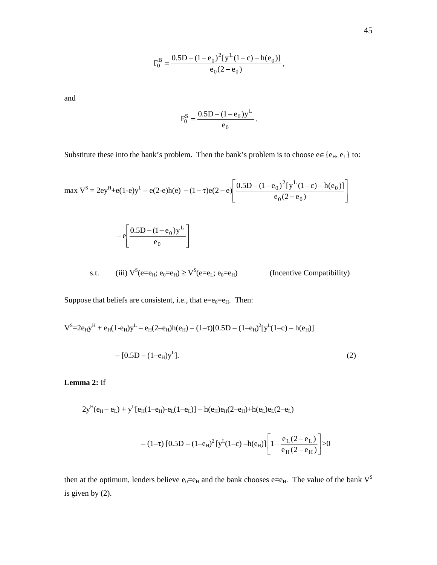$$
F_0^B = \frac{0.5D - (1 - e_0)^2[y^L(1 - c) - h(e_0)]}{e_0(2 - e_0)},
$$

and

$$
F_0^S = \frac{0.5D - (1 - e_0)y^L}{e_0}.
$$

Substitute these into the bank's problem. Then the bank's problem is to choose  $e \in \{e_H, e_L\}$  to:

$$
\max V^{S} = 2ey^{H} + e(1-e)y^{L} - e(2-e)h(e) - (1-\tau)e(2-e)\left[\frac{0.5D - (1-e_{0})^{2}[y^{L}(1-c) - h(e_{0})]}{e_{0}(2-e_{0})}\right]
$$

$$
-\frac{e\left[\frac{0.5D - (1-e_{0})y^{L}}{e_{0}}\right]}{e_{0}}
$$

s.t. (iii) 
$$
V^S(e=e_H; e_0=e_H) \ge V^S(e=e_L; e_0=e_H)
$$
 (Incentive Computibility)

Suppose that beliefs are consistent, i.e., that  $e=e_0=e_H$ . Then:

$$
V^S = 2 e_H y^H + e_H (1 - e_H) y^L - e_H (2 - e_H) h (e_H) - (1 - \tau) [0.5D - (1 - e_H)^2 [y^L (1 - c) - h (e_H)]
$$

$$
-[0.5D - (1 - e_H)y^L].
$$
 (2)

**Lemma 2:** If

$$
2y^{H}(e_{H}-e_{L})+y^{L}[e_{H}(1-e_{H})-e_{L}(1-e_{L})]-h(e_{H})e_{H}(2-e_{H})+h(e_{L})e_{L}(2-e_{L})- \\\nonumber \\ -(1-\tau)\left[0.5D-(1-e_{H})^{2}\left[y^{L}(1-c)-h(e_{H})\right]\right]\left[1-\frac{e_{L}(2-e_{L})}{e_{H}(2-e_{H})}\right]>0
$$

then at the optimum, lenders believe  $e_0 = e_H$  and the bank chooses  $e = e_H$ . The value of the bank  $V^S$ is given by (2).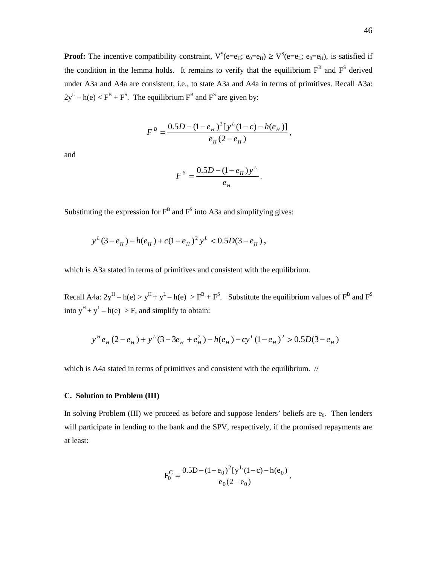**Proof:** The incentive compatibility constraint,  $V^S(e=e_H; e_0=e_H) \ge V^S(e=e_L; e_0=e_H)$ , is satisfied if the condition in the lemma holds. It remains to verify that the equilibrium  $F^B$  and  $F^S$  derived under A3a and A4a are consistent, i.e., to state A3a and A4a in terms of primitives. Recall A3a:  $2y^L - h(e) < F^B + F^S$ . The equilibrium  $F^B$  and  $F^S$  are given by:

$$
F^{B} = \frac{0.5D - (1 - e_{H})^{2} [y^{L}(1 - c) - h(e_{H})]}{e_{H}(2 - e_{H})},
$$

and

$$
F^{s} = \frac{0.5D - (1 - e_{H})y^{L}}{e_{H}}.
$$

Substituting the expression for  $F^B$  and  $F^S$  into A3a and simplifying gives:

$$
y^{L}(3 - e_{H}) - h(e_{H}) + c(1 - e_{H})^{2} y^{L} < 0.5D(3 - e_{H}),
$$

which is A3a stated in terms of primitives and consistent with the equilibrium.

Recall A4a:  $2y^H - h(e) > y^H + y^L - h(e) > F^B + F^S$ . Substitute the equilibrium values of  $F^B$  and  $F^S$ into  $y^H + y^L - h(e) > F$ , and simplify to obtain:

$$
y^{H}e_{H}(2 - e_{H}) + y^{L}(3 - 3e_{H} + e_{H}^{2}) - h(e_{H}) - cy^{L}(1 - e_{H})^{2} > 0.5D(3 - e_{H})
$$

which is A4a stated in terms of primitives and consistent with the equilibrium. //

#### **C. Solution to Problem (III)**

In solving Problem (III) we proceed as before and suppose lenders' beliefs are  $e_0$ . Then lenders will participate in lending to the bank and the SPV, respectively, if the promised repayments are at least:

$$
F_0^C = \frac{0.5D - (1 - e_0)^2 [y^L (1 - c) - h(e_0)]}{e_0 (2 - e_0)},
$$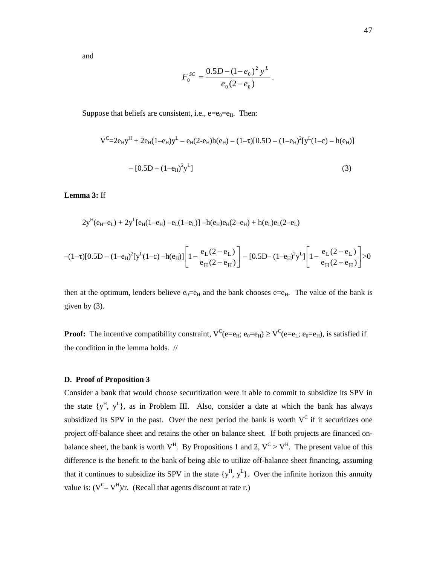and

$$
F_0^{SC} = \frac{0.5D - (1 - e_0)^2 y^L}{e_0 (2 - e_0)}.
$$

Suppose that beliefs are consistent, i.e.,  $e=e_0=e_H$ . Then:

$$
V^{C} = 2e_H y^H + 2e_H (1 - e_H) y^L - e_H (2 - e_H)h(e_H) - (1 - \tau)[0.5D - (1 - e_H)^2[y^L(1 - c) - h(e_H)]
$$
  
- [0.5D - (1 - e\_H)^2y<sup>L</sup>] (3)

**Lemma 3:** If

$$
2y^H(e_H-e_L) + 2y^L[e_H(1-e_H) - e_L(1-e_L)] - h(e_H)e_H(2-e_H) + h(e_L)e_L(2-e_L)
$$

$$
-(1-\tau)[0.5D-(1-e_H)^2[y^L(1-c)-h(e_H)]\Bigg[1-\frac{e_L(2-e_L)}{e_H(2-e_H)}\Bigg]-[0.5D-(1-e_H)^2y^L]\Bigg[1-\frac{e_L(2-e_L)}{e_H(2-e_H)}\Bigg]>0
$$

then at the optimum, lenders believe  $e_0 = e_H$  and the bank chooses  $e = e_H$ . The value of the bank is given by (3).

**Proof:** The incentive compatibility constraint,  $V^C(e=e_H; e_0=e_H) \ge V^C(e=e_L; e_0=e_H)$ , is satisfied if the condition in the lemma holds. //

#### **D. Proof of Proposition 3**

Consider a bank that would choose securitization were it able to commit to subsidize its SPV in the state  $\{y^H, y^L\}$ , as in Problem III. Also, consider a date at which the bank has always subsidized its SPV in the past. Over the next period the bank is worth  $V^C$  if it securitizes one project off-balance sheet and retains the other on balance sheet. If both projects are financed onbalance sheet, the bank is worth  $V<sup>H</sup>$ . By Propositions 1 and 2,  $V<sup>C</sup> > V<sup>H</sup>$ . The present value of this difference is the benefit to the bank of being able to utilize off-balance sheet financing, assuming that it continues to subsidize its SPV in the state  $\{y^H, y^L\}$ . Over the infinite horizon this annuity value is:  $(V^C - V^H)/r$ . (Recall that agents discount at rate r.)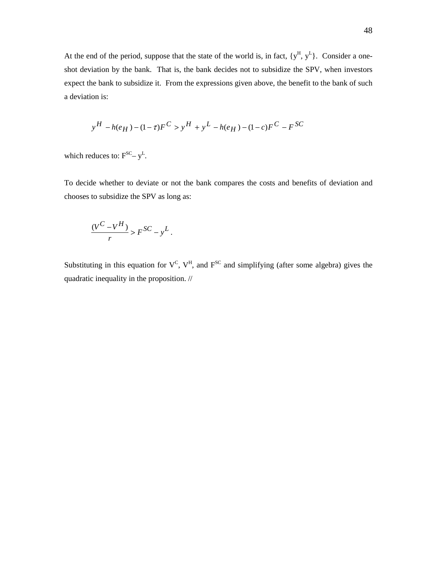At the end of the period, suppose that the state of the world is, in fact,  $\{y^H, y^L\}$ . Consider a oneshot deviation by the bank. That is, the bank decides not to subsidize the SPV, when investors expect the bank to subsidize it. From the expressions given above, the benefit to the bank of such a deviation is:

$$
y^{H} - h(e_{H}) - (1 - \tau)F^{C} > y^{H} + y^{L} - h(e_{H}) - (1 - c)F^{C} - F^{SC}
$$

which reduces to:  $F^{SC} - y^L$ .

To decide whether to deviate or not the bank compares the costs and benefits of deviation and chooses to subsidize the SPV as long as:

$$
\frac{(V^C - V^H)}{r} > F^{SC} - y^L.
$$

Substituting in this equation for  $V^C$ ,  $V^H$ , and  $F^{SC}$  and simplifying (after some algebra) gives the quadratic inequality in the proposition. //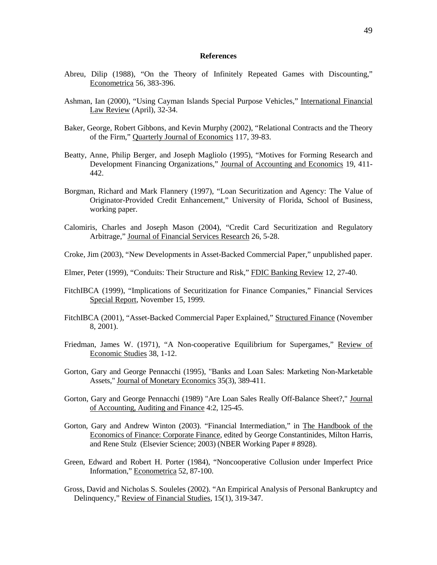#### **References**

- Abreu, Dilip (1988), "On the Theory of Infinitely Repeated Games with Discounting," Econometrica 56, 383-396.
- Ashman, Ian (2000), "Using Cayman Islands Special Purpose Vehicles," International Financial Law Review (April), 32-34.
- Baker, George, Robert Gibbons, and Kevin Murphy (2002), "Relational Contracts and the Theory of the Firm," Quarterly Journal of Economics 117, 39-83.
- Beatty, Anne, Philip Berger, and Joseph Magliolo (1995), "Motives for Forming Research and Development Financing Organizations," Journal of Accounting and Economics 19, 411- 442.
- Borgman, Richard and Mark Flannery (1997), "Loan Securitization and Agency: The Value of Originator-Provided Credit Enhancement," University of Florida, School of Business, working paper.
- Calomiris, Charles and Joseph Mason (2004), "Credit Card Securitization and Regulatory Arbitrage," Journal of Financial Services Research 26, 5-28.
- Croke, Jim (2003), "New Developments in Asset-Backed Commercial Paper," unpublished paper.
- Elmer, Peter (1999), "Conduits: Their Structure and Risk," FDIC Banking Review 12, 27-40.
- FitchIBCA (1999), "Implications of Securitization for Finance Companies," Financial Services Special Report, November 15, 1999.
- FitchIBCA (2001), "Asset-Backed Commercial Paper Explained," Structured Finance (November 8, 2001).
- Friedman, James W. (1971), "A Non-cooperative Equilibrium for Supergames," Review of Economic Studies 38, 1-12.
- Gorton, Gary and George Pennacchi (1995), "Banks and Loan Sales: Marketing Non-Marketable Assets," Journal of Monetary Economics 35(3), 389-411.
- Gorton, Gary and George Pennacchi (1989) "Are Loan Sales Really Off-Balance Sheet?," Journal of Accounting, Auditing and Finance 4:2, 125-45.
- Gorton, Gary and Andrew Winton (2003). "Financial Intermediation," in The Handbook of the Economics of Finance: Corporate Finance, edited by George Constantinides, Milton Harris, and Rene Stulz (Elsevier Science; 2003) (NBER Working Paper # 8928).
- Green, Edward and Robert H. Porter (1984), "Noncooperative Collusion under Imperfect Price Information," Econometrica 52, 87-100.
- Gross, David and Nicholas S. Souleles (2002). "An Empirical Analysis of Personal Bankruptcy and Delinquency," Review of Financial Studies, 15(1), 319-347.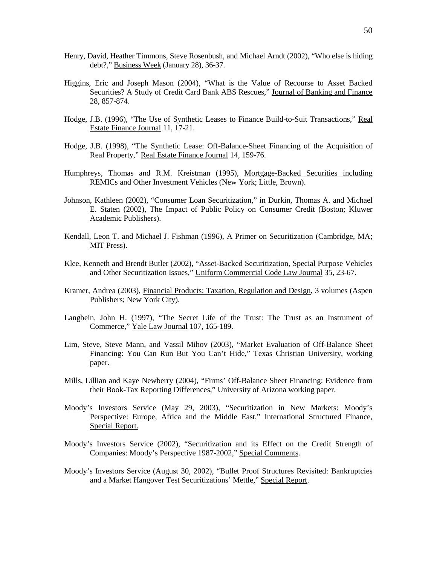- Henry, David, Heather Timmons, Steve Rosenbush, and Michael Arndt (2002), "Who else is hiding debt?," Business Week (January 28), 36-37.
- Higgins, Eric and Joseph Mason (2004), "What is the Value of Recourse to Asset Backed Securities? A Study of Credit Card Bank ABS Rescues," Journal of Banking and Finance 28, 857-874.
- Hodge, J.B. (1996), "The Use of Synthetic Leases to Finance Build-to-Suit Transactions," Real Estate Finance Journal 11, 17-21.
- Hodge, J.B. (1998), "The Synthetic Lease: Off-Balance-Sheet Financing of the Acquisition of Real Property," Real Estate Finance Journal 14, 159-76.
- Humphreys, Thomas and R.M. Kreistman (1995), Mortgage-Backed Securities including REMICs and Other Investment Vehicles (New York; Little, Brown).
- Johnson, Kathleen (2002), "Consumer Loan Securitization," in Durkin, Thomas A. and Michael E. Staten (2002), The Impact of Public Policy on Consumer Credit (Boston; Kluwer Academic Publishers).
- Kendall, Leon T. and Michael J. Fishman (1996), A Primer on Securitization (Cambridge, MA; MIT Press).
- Klee, Kenneth and Brendt Butler (2002), "Asset-Backed Securitization, Special Purpose Vehicles and Other Securitization Issues," Uniform Commercial Code Law Journal 35, 23-67.
- Kramer, Andrea (2003), Financial Products: Taxation, Regulation and Design, 3 volumes (Aspen Publishers; New York City).
- Langbein, John H. (1997), "The Secret Life of the Trust: The Trust as an Instrument of Commerce," Yale Law Journal 107, 165-189.
- Lim, Steve, Steve Mann, and Vassil Mihov (2003), "Market Evaluation of Off-Balance Sheet Financing: You Can Run But You Can't Hide," Texas Christian University, working paper.
- Mills, Lillian and Kaye Newberry (2004), "Firms' Off-Balance Sheet Financing: Evidence from their Book-Tax Reporting Differences," University of Arizona working paper.
- Moody's Investors Service (May 29, 2003), "Securitization in New Markets: Moody's Perspective: Europe, Africa and the Middle East," International Structured Finance, Special Report.
- Moody's Investors Service (2002), "Securitization and its Effect on the Credit Strength of Companies: Moody's Perspective 1987-2002," Special Comments.
- Moody's Investors Service (August 30, 2002), "Bullet Proof Structures Revisited: Bankruptcies and a Market Hangover Test Securitizations' Mettle," Special Report.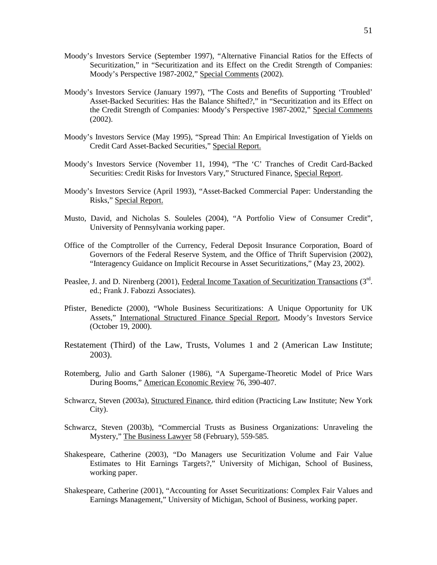- Moody's Investors Service (September 1997), "Alternative Financial Ratios for the Effects of Securitization," in "Securitization and its Effect on the Credit Strength of Companies: Moody's Perspective 1987-2002," Special Comments (2002).
- Moody's Investors Service (January 1997), "The Costs and Benefits of Supporting 'Troubled' Asset-Backed Securities: Has the Balance Shifted?," in "Securitization and its Effect on the Credit Strength of Companies: Moody's Perspective 1987-2002," Special Comments (2002).
- Moody's Investors Service (May 1995), "Spread Thin: An Empirical Investigation of Yields on Credit Card Asset-Backed Securities," Special Report.
- Moody's Investors Service (November 11, 1994), "The 'C' Tranches of Credit Card-Backed Securities: Credit Risks for Investors Vary," Structured Finance, Special Report.
- Moody's Investors Service (April 1993), "Asset-Backed Commercial Paper: Understanding the Risks," Special Report.
- Musto, David, and Nicholas S. Souleles (2004), "A Portfolio View of Consumer Credit", University of Pennsylvania working paper.
- Office of the Comptroller of the Currency, Federal Deposit Insurance Corporation, Board of Governors of the Federal Reserve System, and the Office of Thrift Supervision (2002), "Interagency Guidance on Implicit Recourse in Asset Securitizations," (May 23, 2002).
- Peaslee, J. and D. Nirenberg (2001), Federal Income Taxation of Securitization Transactions (3<sup>rd</sup>. ed.; Frank J. Fabozzi Associates).
- Pfister, Benedicte (2000), "Whole Business Securitizations: A Unique Opportunity for UK Assets," International Structured Finance Special Report, Moody's Investors Service (October 19, 2000).
- Restatement (Third) of the Law, Trusts, Volumes 1 and 2 (American Law Institute; 2003).
- Rotemberg, Julio and Garth Saloner (1986), "A Supergame-Theoretic Model of Price Wars During Booms," American Economic Review 76, 390-407.
- Schwarcz, Steven (2003a), Structured Finance, third edition (Practicing Law Institute; New York City).
- Schwarcz, Steven (2003b), "Commercial Trusts as Business Organizations: Unraveling the Mystery," The Business Lawyer 58 (February), 559-585.
- Shakespeare, Catherine (2003), "Do Managers use Securitization Volume and Fair Value Estimates to Hit Earnings Targets?," University of Michigan, School of Business, working paper.
- Shakespeare, Catherine (2001), "Accounting for Asset Securitizations: Complex Fair Values and Earnings Management," University of Michigan, School of Business, working paper.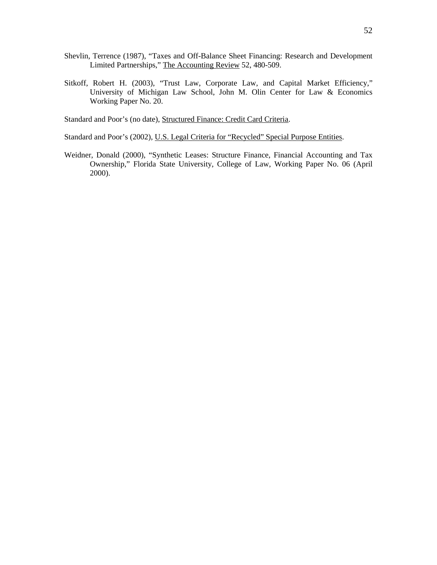- Shevlin, Terrence (1987), "Taxes and Off-Balance Sheet Financing: Research and Development Limited Partnerships," The Accounting Review 52, 480-509.
- Sitkoff, Robert H. (2003), "Trust Law, Corporate Law, and Capital Market Efficiency," University of Michigan Law School, John M. Olin Center for Law & Economics Working Paper No. 20.

Standard and Poor's (no date), Structured Finance: Credit Card Criteria.

Standard and Poor's (2002), U.S. Legal Criteria for "Recycled" Special Purpose Entities.

Weidner, Donald (2000), "Synthetic Leases: Structure Finance, Financial Accounting and Tax Ownership," Florida State University, College of Law, Working Paper No. 06 (April 2000).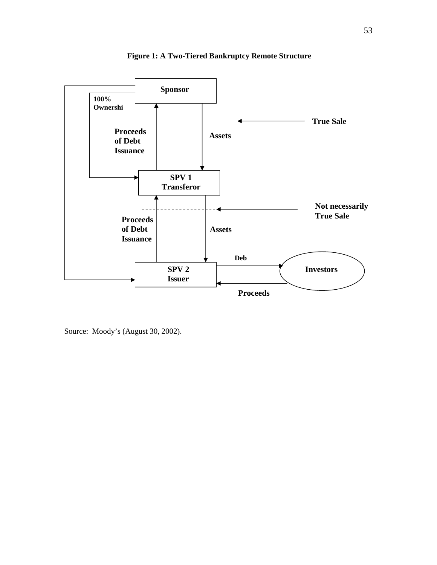

 **Figure 1: A Two-Tiered Bankruptcy Remote Structure** 

Source: Moody's (August 30, 2002).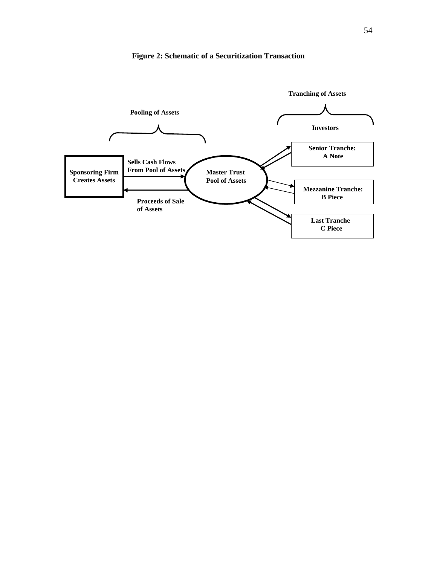

**Figure 2: Schematic of a Securitization Transaction**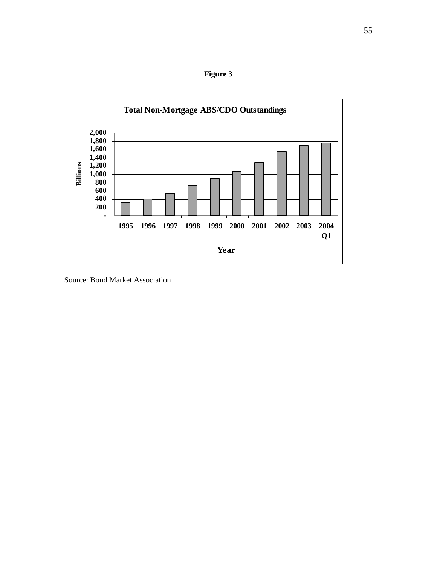**Figure 3** 



Source: Bond Market Association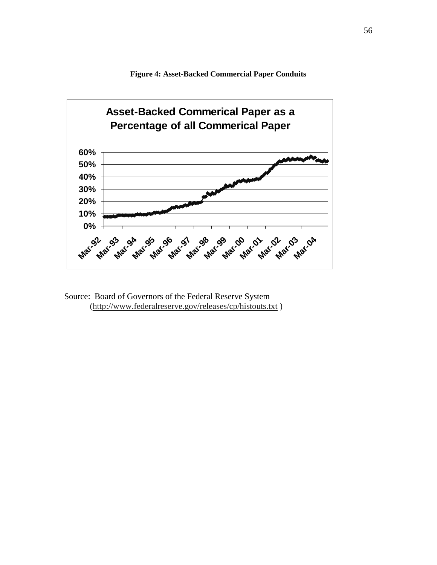

**Figure 4: Asset-Backed Commercial Paper Conduits** 

Source: Board of Governors of the Federal Reserve System (http://www.federalreserve.gov/releases/cp/histouts.txt )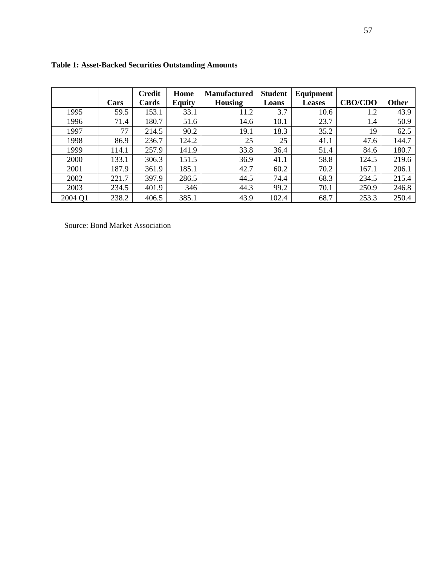|         |       | <b>Credit</b> | Home          | <b>Manufactured</b> | <b>Student</b> | Equipment     |                |              |
|---------|-------|---------------|---------------|---------------------|----------------|---------------|----------------|--------------|
|         | Cars  | Cards         | <b>Equity</b> | <b>Housing</b>      | Loans          | <b>Leases</b> | <b>CBO/CDO</b> | <b>Other</b> |
| 1995    | 59.5  | 153.1         | 33.1          | 11.2                | 3.7            | 10.6          | 1.2            | 43.9         |
| 1996    | 71.4  | 180.7         | 51.6          | 14.6                | 10.1           | 23.7          | 1.4            | 50.9         |
| 1997    | 77    | 214.5         | 90.2          | 19.1                | 18.3           | 35.2          | 19             | 62.5         |
| 1998    | 86.9  | 236.7         | 124.2         | 25                  | 25             | 41.1          | 47.6           | 144.7        |
| 1999    | 114.1 | 257.9         | 141.9         | 33.8                | 36.4           | 51.4          | 84.6           | 180.7        |
| 2000    | 133.1 | 306.3         | 151.5         | 36.9                | 41.1           | 58.8          | 124.5          | 219.6        |
| 2001    | 187.9 | 361.9         | 185.1         | 42.7                | 60.2           | 70.2          | 167.1          | 206.1        |
| 2002    | 221.7 | 397.9         | 286.5         | 44.5                | 74.4           | 68.3          | 234.5          | 215.4        |
| 2003    | 234.5 | 401.9         | 346           | 44.3                | 99.2           | 70.1          | 250.9          | 246.8        |
| 2004 Q1 | 238.2 | 406.5         | 385.1         | 43.9                | 102.4          | 68.7          | 253.3          | 250.4        |

**Table 1: Asset-Backed Securities Outstanding Amounts** 

Source: Bond Market Association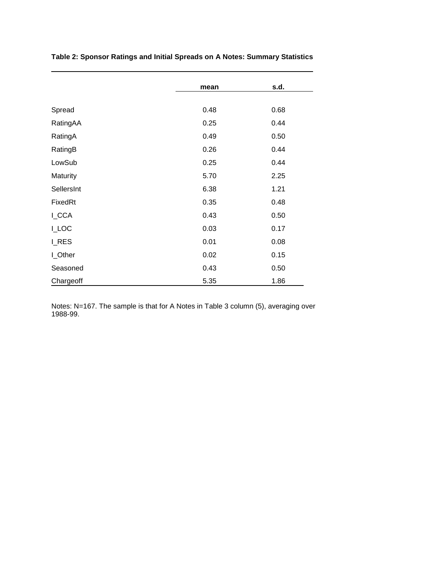|              | mean | s.d. |
|--------------|------|------|
|              |      |      |
| Spread       | 0.48 | 0.68 |
| RatingAA     | 0.25 | 0.44 |
| RatingA      | 0.49 | 0.50 |
| RatingB      | 0.26 | 0.44 |
| LowSub       | 0.25 | 0.44 |
| Maturity     | 5.70 | 2.25 |
| SellersInt   | 6.38 | 1.21 |
| FixedRt      | 0.35 | 0.48 |
| I_CCA        | 0.43 | 0.50 |
| <b>I_LOC</b> | 0.03 | 0.17 |
| <b>I_RES</b> | 0.01 | 0.08 |
| I_Other      | 0.02 | 0.15 |
| Seasoned     | 0.43 | 0.50 |
| Chargeoff    | 5.35 | 1.86 |

**Table 2: Sponsor Ratings and Initial Spreads on A Notes: Summary Statistics** 

Notes: N=167. The sample is that for A Notes in Table 3 column (5), averaging over 1988-99.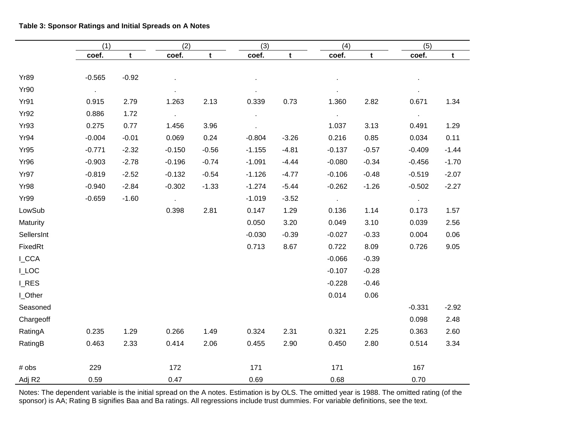|              | (1)      |         | (2)                 |         | (3)                  |         | (4)        |         | (5)            |         |
|--------------|----------|---------|---------------------|---------|----------------------|---------|------------|---------|----------------|---------|
|              | coef.    | t       | coef.               | t       | coef.                | t       | coef.      | t       | coef.          | t       |
|              |          |         |                     |         |                      |         |            |         |                |         |
| <b>Yr89</b>  | $-0.565$ | $-0.92$ | $\blacksquare$      |         | $\blacksquare$       |         |            |         |                |         |
| <b>Yr90</b>  |          |         |                     |         |                      |         |            |         |                |         |
| Yr91         | 0.915    | 2.79    | 1.263               | 2.13    | 0.339                | 0.73    | 1.360      | 2.82    | 0.671          | 1.34    |
| Yr92         | 0.886    | 1.72    | $\mathcal{L}^{\pm}$ |         | $\epsilon$           |         | $\epsilon$ |         | $\mathbf{r}$   |         |
| Yr93         | 0.275    | 0.77    | 1.456               | 3.96    | $\ddot{\phantom{a}}$ |         | 1.037      | 3.13    | 0.491          | 1.29    |
| Yr94         | $-0.004$ | $-0.01$ | 0.069               | 0.24    | $-0.804$             | $-3.26$ | 0.216      | 0.85    | 0.034          | 0.11    |
| Yr95         | $-0.771$ | $-2.32$ | $-0.150$            | $-0.56$ | $-1.155$             | $-4.81$ | $-0.137$   | $-0.57$ | $-0.409$       | $-1.44$ |
| Yr96         | $-0.903$ | $-2.78$ | $-0.196$            | $-0.74$ | $-1.091$             | $-4.44$ | $-0.080$   | $-0.34$ | $-0.456$       | $-1.70$ |
| Yr97         | $-0.819$ | $-2.52$ | $-0.132$            | $-0.54$ | $-1.126$             | $-4.77$ | $-0.106$   | $-0.48$ | $-0.519$       | $-2.07$ |
| Yr98         | $-0.940$ | $-2.84$ | $-0.302$            | $-1.33$ | $-1.274$             | $-5.44$ | $-0.262$   | $-1.26$ | $-0.502$       | $-2.27$ |
| Yr99         | $-0.659$ | $-1.60$ | $\sim$              |         | $-1.019$             | $-3.52$ | $\sim$     |         | $\mathbf{r}$ . |         |
| LowSub       |          |         | 0.398               | 2.81    | 0.147                | 1.29    | 0.136      | 1.14    | 0.173          | 1.57    |
| Maturity     |          |         |                     |         | 0.050                | 3.20    | 0.049      | 3.10    | 0.039          | 2.56    |
| SellersInt   |          |         |                     |         | $-0.030$             | $-0.39$ | $-0.027$   | $-0.33$ | 0.004          | 0.06    |
| FixedRt      |          |         |                     |         | 0.713                | 8.67    | 0.722      | 8.09    | 0.726          | 9.05    |
| I_CCA        |          |         |                     |         |                      |         | $-0.066$   | $-0.39$ |                |         |
| <b>I_LOC</b> |          |         |                     |         |                      |         | $-0.107$   | $-0.28$ |                |         |
| <b>I_RES</b> |          |         |                     |         |                      |         | $-0.228$   | $-0.46$ |                |         |
| I_Other      |          |         |                     |         |                      |         | 0.014      | 0.06    |                |         |
| Seasoned     |          |         |                     |         |                      |         |            |         | $-0.331$       | $-2.92$ |
| Chargeoff    |          |         |                     |         |                      |         |            |         | 0.098          | 2.48    |
| RatingA      | 0.235    | 1.29    | 0.266               | 1.49    | 0.324                | 2.31    | 0.321      | 2.25    | 0.363          | 2.60    |
| RatingB      | 0.463    | 2.33    | 0.414               | 2.06    | 0.455                | 2.90    | 0.450      | 2.80    | 0.514          | 3.34    |
| # obs        | 229      |         | 172                 |         | 171                  |         | 171        |         | 167            |         |
| Adj R2       | 0.59     |         | 0.47                |         | 0.69                 |         | 0.68       |         | 0.70           |         |

**Table 3: Sponsor Ratings and Initial Spreads on A Notes** 

Notes: The dependent variable is the initial spread on the A notes. Estimation is by OLS. The omitted year is 1988. The omitted rating (of the sponsor) is AA; Rating B signifies Baa and Ba ratings. All regressions include trust dummies. For variable definitions, see the text.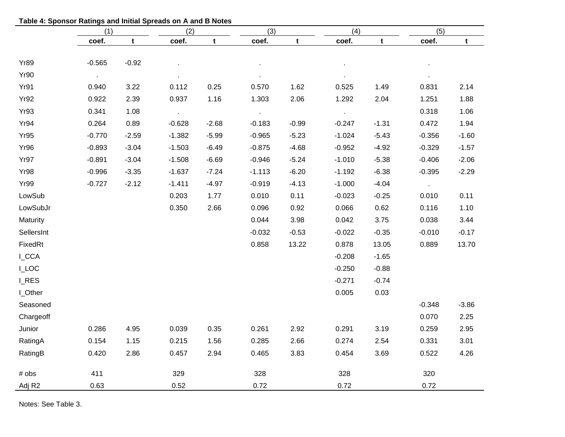|              | (1)      |         | (2)      |         | (3)      |         | (4)      |         | (5)                          |         |  |
|--------------|----------|---------|----------|---------|----------|---------|----------|---------|------------------------------|---------|--|
|              | coef.    | t       | coef.    | t       | coef.    | t       | coef.    | t       | coef.                        | t       |  |
|              |          |         |          |         |          |         |          |         |                              |         |  |
| <b>Yr89</b>  | $-0.565$ | $-0.92$ |          |         |          |         |          |         |                              |         |  |
| <b>Yr90</b>  | $\sim$   |         |          |         |          |         |          |         |                              |         |  |
| <b>Yr91</b>  | 0.940    | 3.22    | 0.112    | 0.25    | 0.570    | 1.62    | 0.525    | 1.49    | 0.831                        | 2.14    |  |
| <b>Yr92</b>  | 0.922    | 2.39    | 0.937    | 1.16    | 1.303    | 2.06    | 1.292    | 2.04    | 1.251                        | 1.88    |  |
| Yr93         | 0.341    | 1.08    |          |         |          |         |          |         | 0.318                        | 1.06    |  |
| Yr94         | 0.264    | 0.89    | $-0.628$ | $-2.68$ | $-0.183$ | $-0.99$ | $-0.247$ | $-1.31$ | 0.472                        | 1.94    |  |
| Yr95         | $-0.770$ | $-2.59$ | $-1.382$ | $-5.99$ | $-0.965$ | $-5.23$ | $-1.024$ | $-5.43$ | $-0.356$                     | $-1.60$ |  |
| Yr96         | $-0.893$ | $-3.04$ | $-1.503$ | $-6.49$ | $-0.875$ | $-4.68$ | $-0.952$ | $-4.92$ | $-0.329$                     | $-1.57$ |  |
| Yr97         | $-0.891$ | $-3.04$ | $-1.508$ | $-6.69$ | $-0.946$ | $-5.24$ | $-1.010$ | $-5.38$ | $-0.406$                     | $-2.06$ |  |
| Yr98         | $-0.996$ | $-3.35$ | $-1.637$ | $-7.24$ | $-1.113$ | $-6.20$ | $-1.192$ | $-6.38$ | $-0.395$                     | $-2.29$ |  |
| Yr99         | $-0.727$ | $-2.12$ | $-1.411$ | $-4.97$ | $-0.919$ | $-4.13$ | $-1.000$ | $-4.04$ | $\mathcal{L}_{\mathrm{eff}}$ |         |  |
| LowSub       |          |         | 0.203    | 1.77    | 0.010    | 0.11    | $-0.023$ | $-0.25$ | 0.010                        | 0.11    |  |
| LowSubJr     |          |         | 0.350    | 2.66    | 0.096    | 0.92    | 0.066    | 0.62    | 0.116                        | 1.10    |  |
| Maturity     |          |         |          |         | 0.044    | 3.98    | 0.042    | 3.75    | 0.038                        | 3.44    |  |
| SellersInt   |          |         |          |         | $-0.032$ | $-0.53$ | $-0.022$ | $-0.35$ | $-0.010$                     | $-0.17$ |  |
| FixedRt      |          |         |          |         | 0.858    | 13.22   | 0.878    | 13.05   | 0.889                        | 13.70   |  |
| I_CCA        |          |         |          |         |          |         | $-0.208$ | $-1.65$ |                              |         |  |
| <b>I_LOC</b> |          |         |          |         |          |         | $-0.250$ | $-0.88$ |                              |         |  |
| <b>LRES</b>  |          |         |          |         |          |         | $-0.271$ | $-0.74$ |                              |         |  |
| I_Other      |          |         |          |         |          |         | 0.005    | 0.03    |                              |         |  |
| Seasoned     |          |         |          |         |          |         |          |         | $-0.348$                     | $-3.86$ |  |
| Chargeoff    |          |         |          |         |          |         |          |         | 0.070                        | 2.25    |  |
| Junior       | 0.286    | 4.95    | 0.039    | 0.35    | 0.261    | 2.92    | 0.291    | 3.19    | 0.259                        | 2.95    |  |
| RatingA      | 0.154    | 1.15    | 0.215    | 1.56    | 0.285    | 2.66    | 0.274    | 2.54    | 0.331                        | 3.01    |  |
| RatingB      | 0.420    | 2.86    | 0.457    | 2.94    | 0.465    | 3.83    | 0.454    | 3.69    | 0.522                        | 4.26    |  |
|              |          |         |          |         |          |         |          |         |                              |         |  |
| # obs        | 411      |         | 329      |         | 328      |         | 328      |         | 320                          |         |  |
| Adj R2       | 0.63     |         | 0.52     |         | 0.72     |         | 0.72     |         | 0.72                         |         |  |

**Table 4: Sponsor Ratings and Initial Spreads on A and B Notes** 

Notes: See Table 3.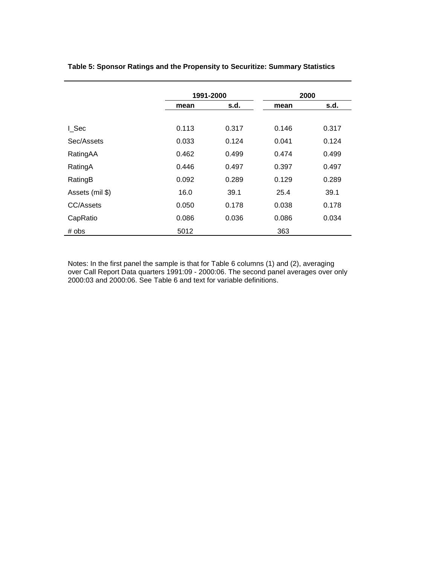|                 | 1991-2000 |       | 2000  |       |
|-----------------|-----------|-------|-------|-------|
|                 | mean      | s.d.  | mean  | s.d.  |
|                 |           |       |       |       |
| I Sec           | 0.113     | 0.317 | 0.146 | 0.317 |
| Sec/Assets      | 0.033     | 0.124 | 0.041 | 0.124 |
| RatingAA        | 0.462     | 0.499 | 0.474 | 0.499 |
| RatingA         | 0.446     | 0.497 | 0.397 | 0.497 |
| RatingB         | 0.092     | 0.289 | 0.129 | 0.289 |
| Assets (mil \$) | 16.0      | 39.1  | 25.4  | 39.1  |
| CC/Assets       | 0.050     | 0.178 | 0.038 | 0.178 |
| CapRatio        | 0.086     | 0.036 | 0.086 | 0.034 |
| # obs           | 5012      |       | 363   |       |

**Table 5: Sponsor Ratings and the Propensity to Securitize: Summary Statistics** 

Notes: In the first panel the sample is that for Table 6 columns (1) and (2), averaging over Call Report Data quarters 1991:09 - 2000:06. The second panel averages over only 2000:03 and 2000:06. See Table 6 and text for variable definitions.